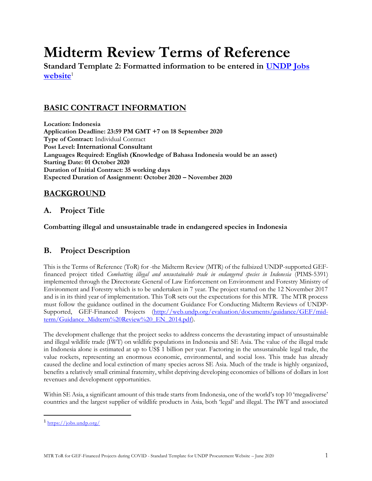# **Midterm Review Terms of Reference**

**Standard Template 2: Formatted information to be entered in [UNDP Jobs](https://jobs.undp.org/)**  [website](https://jobs.undp.org/)<sup>1</sup>

# **BASIC CONTRACT INFORMATION**

**Location: Indonesia Application Deadline: 23:59 PM GMT +7 on 18 September 2020 Type of Contract:** Individual Contract **Post Level: International Consultant Languages Required: English (Knowledge of Bahasa Indonesia would be an asset) Starting Date: 01 October 2020 Duration of Initial Contract: 35 working days Expected Duration of Assignment: October 2020 – November 2020**

# **BACKGROUND**

# **A. Project Title**

**Combatting illegal and unsustainable trade in endangered species in Indonesia**

# **B. Project Description**

This is the Terms of Reference (ToR) for -the Midterm Review (MTR) of the fullsized UNDP-supported GEFfinanced project titled *Combatting illegal and unsustainable trade in endangered species in Indonesia* (PIMS-5391) implemented through the Directorate General of Law Enforcement on Environment and Forestry Ministry of Environment and Forestry which is to be undertaken in 7 year. The project started on the 12 November 2017 and is in its third year of implementation. This ToR sets out the expectations for this MTR. The MTR process must follow the guidance outlined in the document Guidance For Conducting Midterm Reviews of UNDP-Supported, GEF-Financed Projects [\(http://web.undp.org/evaluation/documents/guidance/GEF/mid](http://web.undp.org/evaluation/documents/guidance/GEF/mid-term/Guidance_Midterm%20Review%20_EN_2014.pdf)[term/Guidance\\_Midterm%20Review%20\\_EN\\_2014.pdf\)](http://web.undp.org/evaluation/documents/guidance/GEF/mid-term/Guidance_Midterm%20Review%20_EN_2014.pdf).

The development challenge that the project seeks to address concerns the devastating impact of unsustainable and illegal wildlife trade (IWT) on wildlife populations in Indonesia and SE Asia. The value of the illegal trade in Indonesia alone is estimated at up to US\$ 1 billion per year. Factoring in the unsustainable legal trade, the value rockets, representing an enormous economic, environmental, and social loss. This trade has already caused the decline and local extinction of many species across SE Asia. Much of the trade is highly organized, benefits a relatively small criminal fraternity, whilst depriving developing economies of billions of dollars in lost revenues and development opportunities.

Within SE Asia, a significant amount of this trade starts from Indonesia, one of the world's top 10 'megadiverse' countries and the largest supplier of wildlife products in Asia, both 'legal' and illegal. The IWT and associated

<sup>&</sup>lt;sup>1</sup> <https://jobs.undp.org/>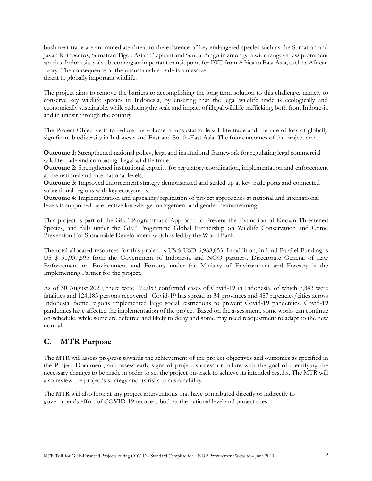bushmeat trade are an immediate threat to the existence of key endangered species such as the Sumatran and Javan Rhinoceros, Sumatran Tiger, Asian Elephant and Sunda Pangolin amongst a wide range of less prominent species. Indonesia is also becoming an important transit point for IWT from Africa to East Asia, such as African Ivory. The consequence of the unsustainable trade is a massive threat to globally important wildlife.

The project aims to remove the barriers to accomplishing the long term solution to this challenge, namely to conserve key wildlife species in Indonesia, by ensuring that the legal wildlife trade is ecologically and economically sustainable, while reducing the scale and impact of illegal wildlife trafficking, both from Indonesia and in transit through the country.

The Project Objective is to reduce the volume of unsustainable wildlife trade and the rate of loss of globally significant biodiversity in Indonesia and East and South-East Asia. The four outcomes of the project are:

**Outcome 1**: Strengthened national policy, legal and institutional framework for regulating legal commercial wildlife trade and combating illegal wildlife trade.

**Outcome 2**: Strengthened institutional capacity for regulatory coordination, implementation and enforcement at the national and international levels.

**Outcome 3**: Improved enforcement strategy demonstrated and scaled up at key trade ports and connected subnational regions with key ecosystems.

**Outcome 4**: Implementation and upscaling/replication of project approaches at national and international levels is supported by effective knowledge management and gender mainstreaming.

This project is part of the GEF Programmatic Approach to Prevent the Extinction of Known Threatened Species, and falls under the GEF Programme Global Partnership on Wildlife Conservation and Crime Prevention For Sustainable Development which is led by the World Bank.

The total allocated resources for this project is US \$ USD 6,988,853. In addition, in-kind Parallel Funding is US \$ 51,937,595 from the Government of Indonesia and NGO partners. Directorate General of Law Enforcement on Environment and Forestry under the Ministry of Environment and Forestry is the Implementing Partner for the project.

As of 30 August 2020, there were 172,053 confirmed cases of Covid-19 in Indonesia, of which 7,343 were fatalities and 124,185 persons recovered. Covid-19 has spread in 34 provinces and 487 regencies/cities across Indonesia. Some regions implemented large social restrictions to prevent Covid-19 pandemics. Covid-19 pandemics have affected the implementation of the project. Based on the assessment, some works can continue on-schedule, while some are deferred and likely to delay and some may need readjustment to adapt to the new normal.

# **C. MTR Purpose**

The MTR will assess progress towards the achievement of the project objectives and outcomes as specified in the Project Document, and assess early signs of project success or failure with the goal of identifying the necessary changes to be made in order to set the project on-track to achieve its intended results. The MTR will also review the project's strategy and its risks to sustainability.

The MTR will also look at any project interventions that have contributed directly or indirectly to government's effort of COVID-19 recovery both at the national level and project sites.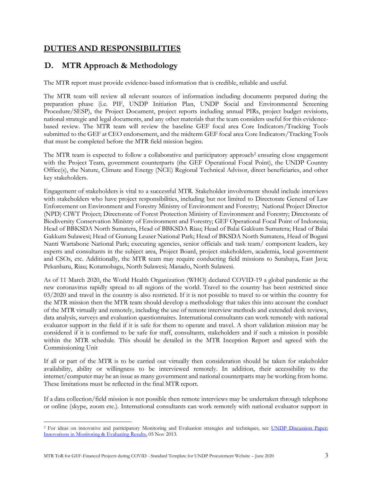# **DUTIES AND RESPONSIBILITIES**

# **D. MTR Approach & Methodology**

The MTR report must provide evidence-based information that is credible, reliable and useful.

The MTR team will review all relevant sources of information including documents prepared during the preparation phase (i.e. PIF, UNDP Initiation Plan, UNDP Social and Environmental Screening Procedure/SESP), the Project Document, project reports including annual PIRs, project budget revisions, national strategic and legal documents, and any other materials that the team considers useful for this evidencebased review. The MTR team will review the baseline GEF focal area Core Indicators/Tracking Tools submitted to the GEF at CEO endorsement, and the midterm GEF focal area Core Indicators/Tracking Tools that must be completed before the MTR field mission begins.

The MTR team is expected to follow a collaborative and participatory approach<sup>2</sup> ensuring close engagement with the Project Team, government counterparts (the GEF Operational Focal Point), the UNDP Country Office(s), the Nature, Climate and Energy (NCE) Regional Technical Advisor, direct beneficiaries, and other key stakeholders.

Engagement of stakeholders is vital to a successful MTR. Stakeholder involvement should include interviews with stakeholders who have project responsibilities, including but not limited to Directorate General of Law Enforcement on Environment and Forestry Ministry of Environment and Forestry; National Project Director (NPD) CIWT Project; Directorate of Forest Protection Ministry of Environment and Forestry; Directorate of Biodiversity Conservation Ministry of Environment and Forestry; GEF Operational Focal Point of Indonesia; Head of BBKSDA North Sumatera, Head of BBKSDA Riau; Head of Balai Gakkum Sumatera; Head of Balai Gakkum Sulawesi; Head of Gunung Leuser National Park; Head of BKSDA North Sumatera, Head of Bogani Nanti Wartabone National Park; executing agencies, senior officials and task team/ component leaders, key experts and consultants in the subject area, Project Board, project stakeholders, academia, local government and CSOs, etc. Additionally, the MTR team may require conducting field missions to Surabaya, East Java; Pekanbaru, Riau; Kotamobagu, North Sulawesi; Manado, North Sulawesi.

As of 11 March 2020, the World Health Organization (WHO) declared COVID-19 a global pandemic as the new coronavirus rapidly spread to all regions of the world. Travel to the country has been restricted since 03/2020 and travel in the country is also restricted. If it is not possible to travel to or within the country for the MTR mission then the MTR team should develop a methodology that takes this into account the conduct of the MTR virtually and remotely, including the use of remote interview methods and extended desk reviews, data analysis, surveys and evaluation questionnaires. International consultants can work remotely with national evaluator support in the field if it is safe for them to operate and travel. A short validation mission may be considered if it is confirmed to be safe for staff, consultants, stakeholders and if such a mission is possible within the MTR schedule. This should be detailed in the MTR Inception Report and agreed with the Commissioning Unit

If all or part of the MTR is to be carried out virtually then consideration should be taken for stakeholder availability, ability or willingness to be interviewed remotely. In addition, their accessibility to the internet/computer may be an issue as many government and national counterparts may be working from home. These limitations must be reflected in the final MTR report.

If a data collection/field mission is not possible then remote interviews may be undertaken through telephone or online (skype, zoom etc.). International consultants can work remotely with national evaluator support in

<sup>&</sup>lt;sup>2</sup> For ideas on innovative and participatory Monitoring and Evaluation strategies and techniques, see UNDP Discussion Paper: [Innovations in Monitoring & Evaluating Results,](http://www.undp.org/content/undp/en/home/librarypage/capacity-building/discussion-paper--innovations-in-monitoring---evaluating-results/) 05 Nov 2013.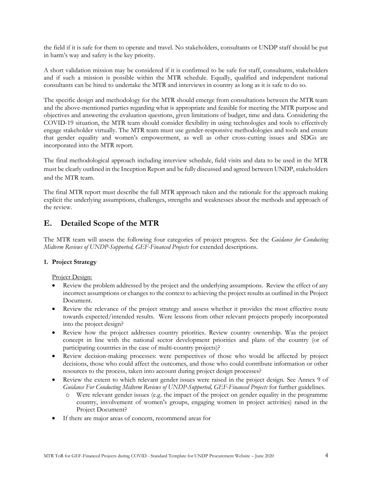the field if it is safe for them to operate and travel. No stakeholders, consultants or UNDP staff should be put in harm's way and safety is the key priority.

A short validation mission may be considered if it is confirmed to be safe for staff, consultants, stakeholders and if such a mission is possible within the MTR schedule. Equally, qualified and independent national consultants can be hired to undertake the MTR and interviews in country as long as it is safe to do so.

The specific design and methodology for the MTR should emerge from consultations between the MTR team and the above-mentioned parties regarding what is appropriate and feasible for meeting the MTR purpose and objectives and answering the evaluation questions, given limitations of budget, time and data. Considering the COVID-19 situation, the MTR team should consider flexibility in using technologies and tools to effectively engage stakeholder virtually. The MTR team must use gender-responsive methodologies and tools and ensure that gender equality and women's empowerment, as well as other cross-cutting issues and SDGs are incorporated into the MTR report.

The final methodological approach including interview schedule, field visits and data to be used in the MTR must be clearly outlined in the Inception Report and be fully discussed and agreed between UNDP, stakeholders and the MTR team.

The final MTR report must describe the full MTR approach taken and the rationale for the approach making explicit the underlying assumptions, challenges, strengths and weaknesses about the methods and approach of the review.

# **E. Detailed Scope of the MTR**

The MTR team will assess the following four categories of project progress. See the *Guidance for Conducting Midterm Reviews of UNDP-Supported, GEF-Financed Projects* for extended descriptions.

# **1. Project Strategy**

Project Design:

- Review the problem addressed by the project and the underlying assumptions. Review the effect of any incorrect assumptions or changes to the context to achieving the project results as outlined in the Project Document.
- Review the relevance of the project strategy and assess whether it provides the most effective route towards expected/intended results. Were lessons from other relevant projects properly incorporated into the project design?
- Review how the project addresses country priorities. Review country ownership. Was the project concept in line with the national sector development priorities and plans of the country (or of participating countries in the case of multi-country projects)?
- Review decision-making processes: were perspectives of those who would be affected by project decisions, those who could affect the outcomes, and those who could contribute information or other resources to the process, taken into account during project design processes?
- Review the extent to which relevant gender issues were raised in the project design. See Annex 9 of *Guidance For Conducting Midterm Reviews of UNDP-Supported, GEF-Financed Projects* for further guidelines.
	- o Were relevant gender issues (e.g. the impact of the project on gender equality in the programme country, involvement of women's groups, engaging women in project activities) raised in the Project Document?
- If there are major areas of concern, recommend areas for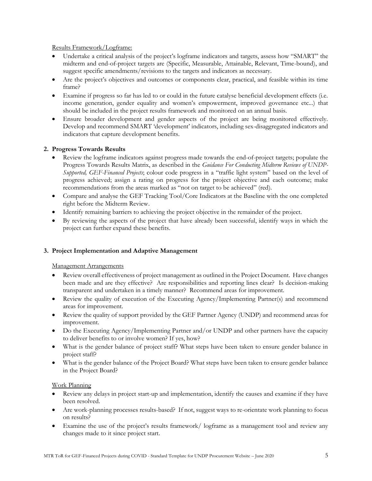## Results Framework/Logframe:

- Undertake a critical analysis of the project's logframe indicators and targets, assess how "SMART" the midterm and end-of-project targets are (Specific, Measurable, Attainable, Relevant, Time-bound), and suggest specific amendments/revisions to the targets and indicators as necessary.
- Are the project's objectives and outcomes or components clear, practical, and feasible within its time frame?
- Examine if progress so far has led to or could in the future catalyse beneficial development effects (i.e. income generation, gender equality and women's empowerment, improved governance etc...) that should be included in the project results framework and monitored on an annual basis.
- Ensure broader development and gender aspects of the project are being monitored effectively. Develop and recommend SMART 'development' indicators, including sex-disaggregated indicators and indicators that capture development benefits.

## **2. Progress Towards Results**

- Review the logframe indicators against progress made towards the end-of-project targets; populate the Progress Towards Results Matrix, as described in the *Guidance For Conducting Midterm Reviews of UNDP-Supported, GEF-Financed Projects*; colour code progress in a "traffic light system" based on the level of progress achieved; assign a rating on progress for the project objective and each outcome; make recommendations from the areas marked as "not on target to be achieved" (red).
- Compare and analyse the GEF Tracking Tool/Core Indicators at the Baseline with the one completed right before the Midterm Review.
- Identify remaining barriers to achieving the project objective in the remainder of the project.
- By reviewing the aspects of the project that have already been successful, identify ways in which the project can further expand these benefits.

## **3. Project Implementation and Adaptive Management**

## Management Arrangements

- Review overall effectiveness of project management as outlined in the Project Document. Have changes been made and are they effective? Are responsibilities and reporting lines clear? Is decision-making transparent and undertaken in a timely manner? Recommend areas for improvement.
- Review the quality of execution of the Executing Agency/Implementing Partner(s) and recommend areas for improvement.
- Review the quality of support provided by the GEF Partner Agency (UNDP) and recommend areas for improvement.
- Do the Executing Agency/Implementing Partner and/or UNDP and other partners have the capacity to deliver benefits to or involve women? If yes, how?
- What is the gender balance of project staff? What steps have been taken to ensure gender balance in project staff?
- What is the gender balance of the Project Board? What steps have been taken to ensure gender balance in the Project Board?

## Work Planning

- Review any delays in project start-up and implementation, identify the causes and examine if they have been resolved.
- Are work-planning processes results-based? If not, suggest ways to re-orientate work planning to focus on results?
- Examine the use of the project's results framework/ logframe as a management tool and review any changes made to it since project start.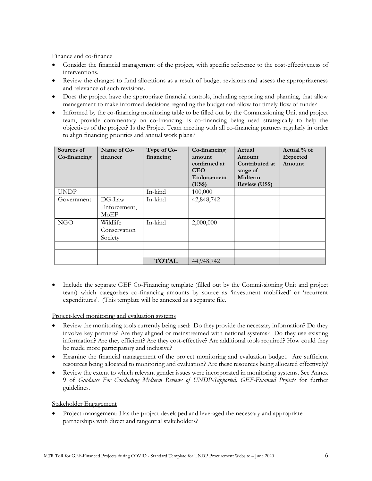Finance and co-finance

- Consider the financial management of the project, with specific reference to the cost-effectiveness of interventions.
- Review the changes to fund allocations as a result of budget revisions and assess the appropriateness and relevance of such revisions.
- Does the project have the appropriate financial controls, including reporting and planning, that allow management to make informed decisions regarding the budget and allow for timely flow of funds?
- Informed by the co-financing monitoring table to be filled out by the Commissioning Unit and project team, provide commentary on co-financing: is co-financing being used strategically to help the objectives of the project? Is the Project Team meeting with all co-financing partners regularly in order to align financing priorities and annual work plans?

| Sources of<br>Co-financing | Name of Co-<br>financer             | Type of Co-<br>financing | Co-financing<br>amount<br>confirmed at<br><b>CEO</b><br>Endorsement<br>(US\$) | Actual<br>Amount<br>Contributed at<br>stage of<br>Midterm<br><b>Review (US\$)</b> | Actual % of<br><b>Expected</b><br>Amount |
|----------------------------|-------------------------------------|--------------------------|-------------------------------------------------------------------------------|-----------------------------------------------------------------------------------|------------------------------------------|
| <b>UNDP</b>                |                                     | In-kind                  | 100,000                                                                       |                                                                                   |                                          |
| Government                 | DG-Law<br>Enforcement.<br>MoEF      | In-kind                  | 42,848,742                                                                    |                                                                                   |                                          |
| <b>NGO</b>                 | Wildlife<br>Conservation<br>Society | In-kind                  | 2,000,000                                                                     |                                                                                   |                                          |
|                            |                                     |                          |                                                                               |                                                                                   |                                          |
|                            |                                     |                          |                                                                               |                                                                                   |                                          |
|                            |                                     | <b>TOTAL</b>             | 44,948,742                                                                    |                                                                                   |                                          |

• Include the separate GEF Co-Financing template (filled out by the Commissioning Unit and project team) which categorizes co-financing amounts by source as 'investment mobilized' or 'recurrent expenditures'. (This template will be annexed as a separate file.

Project-level monitoring and evaluation systems

- Review the monitoring tools currently being used: Do they provide the necessary information? Do they involve key partners? Are they aligned or mainstreamed with national systems? Do they use existing information? Are they efficient? Are they cost-effective? Are additional tools required? How could they be made more participatory and inclusive?
- Examine the financial management of the project monitoring and evaluation budget. Are sufficient resources being allocated to monitoring and evaluation? Are these resources being allocated effectively?
- Review the extent to which relevant gender issues were incorporated in monitoring systems. See Annex 9 of *Guidance For Conducting Midterm Reviews of UNDP-Supported, GEF-Financed Projects* for further guidelines.

Stakeholder Engagement

• Project management: Has the project developed and leveraged the necessary and appropriate partnerships with direct and tangential stakeholders?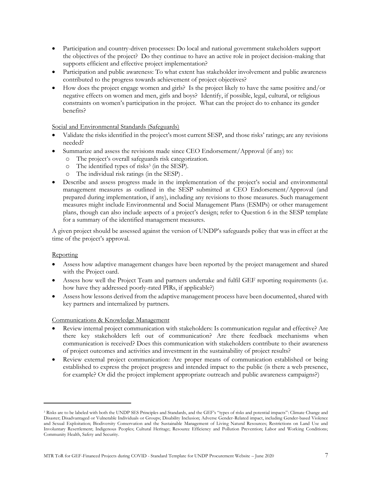- Participation and country-driven processes: Do local and national government stakeholders support the objectives of the project? Do they continue to have an active role in project decision-making that supports efficient and effective project implementation?
- Participation and public awareness: To what extent has stakeholder involvement and public awareness contributed to the progress towards achievement of project objectives?
- How does the project engage women and girls? Is the project likely to have the same positive and/or negative effects on women and men, girls and boys? Identify, if possible, legal, cultural, or religious constraints on women's participation in the project. What can the project do to enhance its gender benefits?

Social and Environmental Standards (Safeguards)

- Validate the risks identified in the project's most current SESP, and those risks' ratings; are any revisions needed?
- Summarize and assess the revisions made since CEO Endorsement/Approval (if any) to:
	- o The project's overall safeguards risk categorization.
	- o The identified types of risks<sup>3</sup> (in the SESP).
	- o The individual risk ratings (in the SESP) .
- Describe and assess progress made in the implementation of the project's social and environmental management measures as outlined in the SESP submitted at CEO Endorsement/Approval (and prepared during implementation, if any), including any revisions to those measures. Such management measures might include Environmental and Social Management Plans (ESMPs) or other management plans, though can also include aspects of a project's design; refer to Question 6 in the SESP template for a summary of the identified management measures.

A given project should be assessed against the version of UNDP's safeguards policy that was in effect at the time of the project's approval.

#### **Reporting**

- Assess how adaptive management changes have been reported by the project management and shared with the Project oard.
- Assess how well the Project Team and partners undertake and fulfil GEF reporting requirements (i.e. how have they addressed poorly-rated PIRs, if applicable?)
- Assess how lessons derived from the adaptive management process have been documented, shared with key partners and internalized by partners.

#### Communications & Knowledge Management

- Review internal project communication with stakeholders: Is communication regular and effective? Are there key stakeholders left out of communication? Are there feedback mechanisms when communication is received? Does this communication with stakeholders contribute to their awareness of project outcomes and activities and investment in the sustainability of project results?
- Review external project communication: Are proper means of communication established or being established to express the project progress and intended impact to the public (is there a web presence, for example? Or did the project implement appropriate outreach and public awareness campaigns?)

<sup>&</sup>lt;sup>3</sup> Risks are to be labeled with both the UNDP SES Principles and Standards, and the GEF's "types of risks and potential impacts": Climate Change and Disaster; Disadvantaged or Vulnerable Individuals or Groups; Disability Inclusion; Adverse Gender-Related impact, including Gender-based Violence and Sexual Exploitation; Biodiversity Conservation and the Sustainable Management of Living Natural Resources; Restrictions on Land Use and Involuntary Resettlement; Indigenous Peoples; Cultural Heritage; Resource Efficiency and Pollution Prevention; Labor and Working Conditions; Community Health, Safety and Security.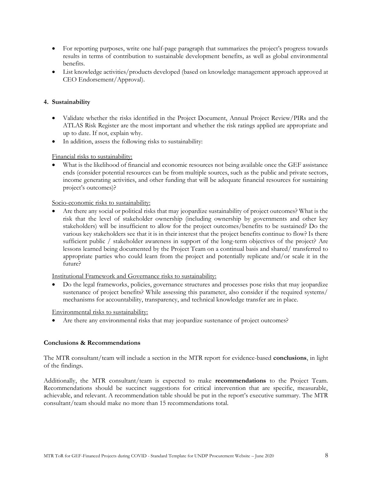- For reporting purposes, write one half-page paragraph that summarizes the project's progress towards results in terms of contribution to sustainable development benefits, as well as global environmental benefits.
- List knowledge activities/products developed (based on knowledge management approach approved at CEO Endorsement/Approval).

## **4. Sustainability**

- Validate whether the risks identified in the Project Document, Annual Project Review/PIRs and the ATLAS Risk Register are the most important and whether the risk ratings applied are appropriate and up to date. If not, explain why.
- In addition, assess the following risks to sustainability:

## Financial risks to sustainability:

What is the likelihood of financial and economic resources not being available once the GEF assistance ends (consider potential resources can be from multiple sources, such as the public and private sectors, income generating activities, and other funding that will be adequate financial resources for sustaining project's outcomes)?

#### Socio-economic risks to sustainability:

• Are there any social or political risks that may jeopardize sustainability of project outcomes? What is the risk that the level of stakeholder ownership (including ownership by governments and other key stakeholders) will be insufficient to allow for the project outcomes/benefits to be sustained? Do the various key stakeholders see that it is in their interest that the project benefits continue to flow? Is there sufficient public / stakeholder awareness in support of the long-term objectives of the project? Are lessons learned being documented by the Project Team on a continual basis and shared/ transferred to appropriate parties who could learn from the project and potentially replicate and/or scale it in the future?

Institutional Framework and Governance risks to sustainability:

• Do the legal frameworks, policies, governance structures and processes pose risks that may jeopardize sustenance of project benefits? While assessing this parameter, also consider if the required systems/ mechanisms for accountability, transparency, and technical knowledge transfer are in place.

Environmental risks to sustainability:

Are there any environmental risks that may jeopardize sustenance of project outcomes?

## **Conclusions & Recommendations**

The MTR consultant/team will include a section in the MTR report for evidence-based **conclusions**, in light of the findings.

Additionally, the MTR consultant/team is expected to make **recommendations** to the Project Team. Recommendations should be succinct suggestions for critical intervention that are specific, measurable, achievable, and relevant. A recommendation table should be put in the report's executive summary. The MTR consultant/team should make no more than 15 recommendations total.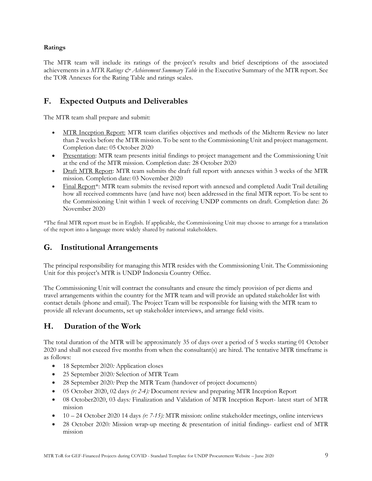## **Ratings**

The MTR team will include its ratings of the project's results and brief descriptions of the associated achievements in a *MTR Ratings & Achievement Summary Table* in the Executive Summary of the MTR report. See the TOR Annexes for the Rating Table and ratings scales.

# **F. Expected Outputs and Deliverables**

The MTR team shall prepare and submit:

- MTR Inception Report: MTR team clarifies objectives and methods of the Midterm Review no later than 2 weeks before the MTR mission. To be sent to the Commissioning Unit and project management. Completion date: 05 October 2020
- Presentation: MTR team presents initial findings to project management and the Commissioning Unit at the end of the MTR mission. Completion date: 28 October 2020
- Draft MTR Report: MTR team submits the draft full report with annexes within 3 weeks of the MTR mission. Completion date: 03 November 2020
- Final Report<sup>\*</sup>: MTR team submits the revised report with annexed and completed Audit Trail detailing how all received comments have (and have not) been addressed in the final MTR report. To be sent to the Commissioning Unit within 1 week of receiving UNDP comments on draft. Completion date: 26 November 2020

\*The final MTR report must be in English. If applicable, the Commissioning Unit may choose to arrange for a translation of the report into a language more widely shared by national stakeholders.

# **G. Institutional Arrangements**

The principal responsibility for managing this MTR resides with the Commissioning Unit. The Commissioning Unit for this project's MTR is UNDP Indonesia Country Office.

The Commissioning Unit will contract the consultants and ensure the timely provision of per diems and travel arrangements within the country for the MTR team and will provide an updated stakeholder list with contact details (phone and email). The Project Team will be responsible for liaising with the MTR team to provide all relevant documents, set up stakeholder interviews, and arrange field visits.

# **H. Duration of the Work**

The total duration of the MTR will be approximately 35 of days over a period of 5 weeks starting 01 October 2020 and shall not exceed five months from when the consultant(s) are hired. The tentative MTR timeframe is as follows:

- 18 September 2020*:* Application closes
- 25 September 2020*:* Selection of MTR Team
- 28 September 2020*:* Prep the MTR Team (handover of project documents)
- 05 October 2020, 02 days *(r: 2-4):* Document review and preparing MTR Inception Report
- 08 October2020, 03 days*:* Finalization and Validation of MTR Inception Report- latest start of MTR mission
- 10 24 October 2020 14 days *(r: 7-15):* MTR mission: online stakeholder meetings, online interviews
- 28 October 2020*:* Mission wrap-up meeting & presentation of initial findings- earliest end of MTR mission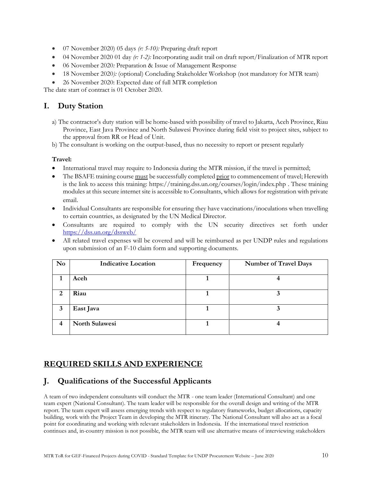- 07 November 2020) 05 days *(r: 5-10):* Preparing draft report
- 04 November 2020 01 day *(r: 1-2):* Incorporating audit trail on draft report/Finalization of MTR report
- 06 November 2020*:* Preparation & Issue of Management Response
- 18 November 2020): *(optional) Concluding Stakeholder Workshop (not mandatory for MTR team)*
- 26 November 2020: Expected date of full MTR completion

The date start of contract is 01 October 2020.

# **I. Duty Station**

- a) The contractor's duty station will be home-based with possibility of travel to Jakarta, Aceh Province, Riau Province, East Java Province and North Sulawesi Province during field visit to project sites, subject to the approval from RR or Head of Unit.
- b) The consultant is working on the output-based, thus no necessity to report or present regularly

# **Travel:**

- International travel may require to Indonesia during the MTR mission, if the travel is permitted;
- The BSAFE training course must be successfully completed prior to commencement of travel; Herewith is the link to access this training: [https://training.dss.un.org/courses/login/index.php](https://eur03.safelinks.protection.outlook.com/?url=https%3A%2F%2Ftraining.dss.un.org%2Fcourses%2Flogin%2Findex.php&data=02%7C01%7Cmargarita.arguelles%40undp.org%7Cf844bcc8bed44b9d964e08d81439040f%7Cb3e5db5e2944483799f57488ace54319%7C0%7C0%7C637281583941862242&sdata=rxpJarejT1BkWC%2FDUq2F4MmAZf43mbRMl5fFqWWBTyY%3D&reserved=0) . These training modules at this secure internet site is accessible to Consultants, which allows for registration with private email.
- Individual Consultants are responsible for ensuring they have vaccinations/inoculations when travelling to certain countries, as designated by the UN Medical Director.
- Consultants are required to comply with the UN security directives set forth under <https://dss.un.org/dssweb/>
- All related travel expenses will be covered and will be reimbursed as per UNDP rules and regulations upon submission of an F-10 claim form and supporting documents.

| $\mathbf{N}\mathbf{o}$ | <b>Indicative Location</b> | Frequency | <b>Number of Travel Days</b> |
|------------------------|----------------------------|-----------|------------------------------|
|                        | Aceh                       |           |                              |
| 2                      | Riau                       |           |                              |
| 3                      | East Java                  |           |                              |
| 4                      | <b>North Sulawesi</b>      |           |                              |

# **REQUIRED SKILLS AND EXPERIENCE**

# **J. Qualifications of the Successful Applicants**

A team of two independent consultants will conduct the MTR - one team leader (International Consultant) and one team expert (National Consultant). The team leader will be responsible for the overall design and writing of the MTR report*.* The team expert will assess emerging trends with respect to regulatory frameworks, budget allocations, capacity building, work with the Project Team in developing the MTR itinerary. The National Consultant will also act as a focal point for coordinating and working with relevant stakeholders in Indonesia. If the international travel restriction continues and, in-country mission is not possible, the MTR team will use alternative means of interviewing stakeholders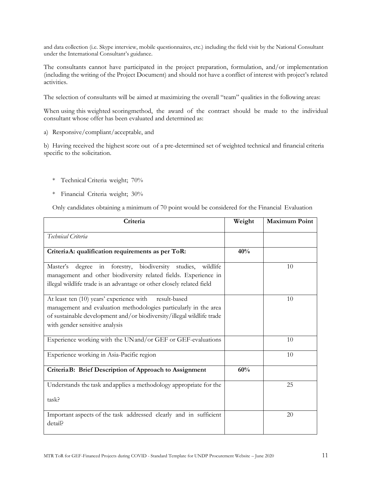and data collection (i.e. Skype interview, mobile questionnaires, etc.) including the field visit by the National Consultant under the International Consultant's guidance.

The consultants cannot have participated in the project preparation, formulation, and/or implementation (including the writing of the Project Document) and should not have a conflict of interest with project's related activities.

The selection of consultants will be aimed at maximizing the overall "team" qualities in the following areas:

When using this weighted scoringmethod, the award of the contract should be made to the individual consultant whose offer has been evaluated and determined as:

a) Responsive/compliant/acceptable, and

b) Having received the highest score out of a pre-determined set of weighted technical and financial criteria specific to the solicitation.

- \* Technical Criteria weight; 70%
- \* Financial Criteria weight; 30%

Only candidates obtaining a minimum of 70 point would be considered for the Financial Evaluation

| Criteria                                                                                                                                                                                                                                | Weight | <b>Maximum Point</b> |
|-----------------------------------------------------------------------------------------------------------------------------------------------------------------------------------------------------------------------------------------|--------|----------------------|
| Technical Criteria                                                                                                                                                                                                                      |        |                      |
| CriteriaA: qualification requirements as per ToR:                                                                                                                                                                                       | 40%    |                      |
| biodiversity studies, wildlife<br>forestry,<br>Master's<br>degree<br>in<br>management and other biodiversity related fields. Experience in<br>illegal wildlife trade is an advantage or other closely related field                     |        | 10                   |
| At least ten (10) years' experience with<br>result-based<br>management and evaluation methodologies particularly in the area<br>of sustainable development and/or biodiversity/illegal wildlife trade<br>with gender sensitive analysis |        | 10                   |
| Experience working with the UN and/or GEF or GEF-evaluations                                                                                                                                                                            |        | 10                   |
| Experience working in Asia-Pacific region                                                                                                                                                                                               |        | 10                   |
| CriteriaB: Brief Description of Approach to Assignment                                                                                                                                                                                  | 60%    |                      |
| Understands the task and applies a methodology appropriate for the<br>task?                                                                                                                                                             |        | 25                   |
| Important aspects of the task addressed clearly and in sufficient<br>detail?                                                                                                                                                            |        | 20                   |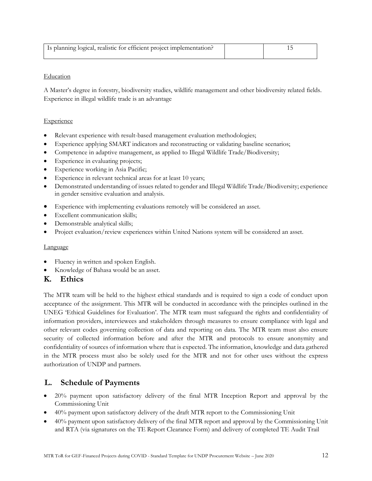| Is planning logical, realistic for efficient project implementation? |  |
|----------------------------------------------------------------------|--|
|                                                                      |  |

## Education

A Master's degree in forestry, biodiversity studies, wildlife management and other biodiversity related fields. Experience in illegal wildlife trade is an advantage

## **Experience**

- Relevant experience with result-based management evaluation methodologies;
- Experience applying SMART indicators and reconstructing or validating baseline scenarios;
- Competence in adaptive management, as applied to Illegal Wildlife Trade/Biodiversity;
- Experience in evaluating projects;
- Experience working in Asia Pacific;
- Experience in relevant technical areas for at least 10 years;
- Demonstrated understanding of issues related to gender and Illegal Wildlife Trade/Biodiversity; experience in gender sensitive evaluation and analysis.
- Experience with implementing evaluations remotely will be considered an asset.
- Excellent communication skills;
- Demonstrable analytical skills;
- Project evaluation/review experiences within United Nations system will be considered an asset.

## **Language**

- Fluency in written and spoken English.
- Knowledge of Bahasa would be an asset.

# **K. Ethics**

The MTR team will be held to the highest ethical standards and is required to sign a code of conduct upon acceptance of the assignment. This MTR will be conducted in accordance with the principles outlined in the UNEG 'Ethical Guidelines for Evaluation'. The MTR team must safeguard the rights and confidentiality of information providers, interviewees and stakeholders through measures to ensure compliance with legal and other relevant codes governing collection of data and reporting on data. The MTR team must also ensure security of collected information before and after the MTR and protocols to ensure anonymity and confidentiality of sources of information where that is expected. The information, knowledge and data gathered in the MTR process must also be solely used for the MTR and not for other uses without the express authorization of UNDP and partners.

# **L. Schedule of Payments**

- 20% payment upon satisfactory delivery of the final MTR Inception Report and approval by the Commissioning Unit
- 40% payment upon satisfactory delivery of the draft MTR report to the Commissioning Unit
- 40% payment upon satisfactory delivery of the final MTR report and approval by the Commissioning Unit and RTA (via signatures on the TE Report Clearance Form) and delivery of completed TE Audit Trail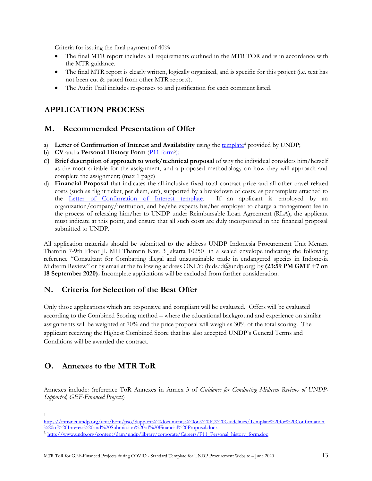Criteria for issuing the final payment of 40%

- The final MTR report includes all requirements outlined in the MTR TOR and is in accordance with the MTR guidance.
- The final MTR report is clearly written, logically organized, and is specific for this project (i.e. text has not been cut & pasted from other MTR reports).
- The Audit Trail includes responses to and justification for each comment listed.

# **APPLICATION PROCESS**

# **M. Recommended Presentation of Offer**

- a) **Letter of Confirmation of Interest and Availability** using the [template](https://intranet.undp.org/unit/bom/pso/Support%20documents%20on%20IC%20Guidelines/Template%20for%20Confirmation%20of%20Interest%20and%20Submission%20of%20Financial%20Proposal.docx)<sup>4</sup> provided by UNDP;
- b) **CV** and a **Personal History Form** (*P11 form<sup>5</sup>)*;
- c) **Brief description of approach to work/technical proposal** of why the individual considers him/herself as the most suitable for the assignment, and a proposed methodology on how they will approach and complete the assignment; (max 1 page)
- d) **Financial Proposal** that indicates the all-inclusive fixed total contract price and all other travel related costs (such as flight ticket, per diem, etc), supported by a breakdown of costs, as per template attached to the [Letter of Confirmation of Interest template.](https://popp.undp.org/_layouts/15/WopiFrame.aspx?sourcedoc=/UNDP_POPP_DOCUMENT_LIBRARY/Public/PSU_%20Individual%20Contract_Offerors%20Letter%20to%20UNDP%20Confirming%20Interest%20and%20Availability.docx&action=default) If an applicant is employed by an organization/company/institution, and he/she expects his/her employer to charge a management fee in the process of releasing him/her to UNDP under Reimbursable Loan Agreement (RLA), the applicant must indicate at this point, and ensure that all such costs are duly incorporated in the financial proposal submitted to UNDP.

All application materials should be submitted to the address UNDP Indonesia Procurement Unit Menara Thamrin 7-9th Floor Jl. MH Thamrin Kav. 3 Jakarta 10250 in a sealed envelope indicating the following reference "Consultant for Combatting illegal and unsustainable trade in endangered species in Indonesia Midterm Review" or by email at the following address ONLY: (bids.id@undp.org) by **(23:59 PM GMT +7 on 18 September 2020).** Incomplete applications will be excluded from further consideration.

# **N. Criteria for Selection of the Best Offer**

Only those applications which are responsive and compliant will be evaluated. Offers will be evaluated according to the Combined Scoring method – where the educational background and experience on similar assignments will be weighted at 70% and the price proposal will weigh as 30% of the total scoring. The applicant receiving the Highest Combined Score that has also accepted UNDP's General Terms and Conditions will be awarded the contract.

# **O. Annexes to the MTR ToR**

Annexes include: (reference ToR Annexes in Annex 3 of *Guidance for Conducting Midterm Reviews of UNDP-Supported, GEF-Financed Projects*)

4

[https://intranet.undp.org/unit/bom/pso/Support%20documents%20on%20IC%20Guidelines/Template%20for%20Confirmation](https://intranet.undp.org/unit/bom/pso/Support%20documents%20on%20IC%20Guidelines/Template%20for%20Confirmation%20of%20Interest%20and%20Submission%20of%20Financial%20Proposal.docx) [%20of%20Interest%20and%20Submission%20of%20Financial%20Proposal.docx](https://intranet.undp.org/unit/bom/pso/Support%20documents%20on%20IC%20Guidelines/Template%20for%20Confirmation%20of%20Interest%20and%20Submission%20of%20Financial%20Proposal.docx)

<sup>5</sup> [http://www.undp.org/content/dam/undp/library/corporate/Careers/P11\\_Personal\\_history\\_form.doc](http://www.undp.org/content/dam/undp/library/corporate/Careers/P11_Personal_history_form.doc)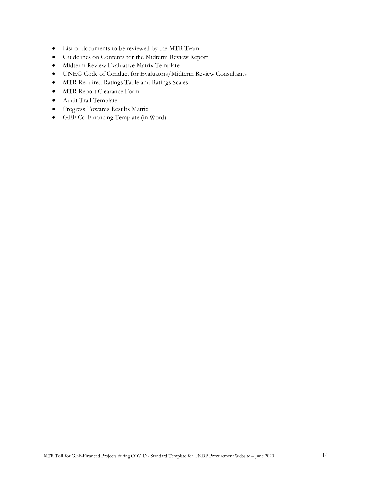- List of documents to be reviewed by the MTR Team
- Guidelines on Contents for the Midterm Review Report
- Midterm Review Evaluative Matrix Template
- UNEG Code of Conduct for Evaluators/Midterm Review Consultants
- MTR Required Ratings Table and Ratings Scales
- MTR Report Clearance Form
- Audit Trail Template
- Progress Towards Results Matrix
- GEF Co-Financing Template (in Word)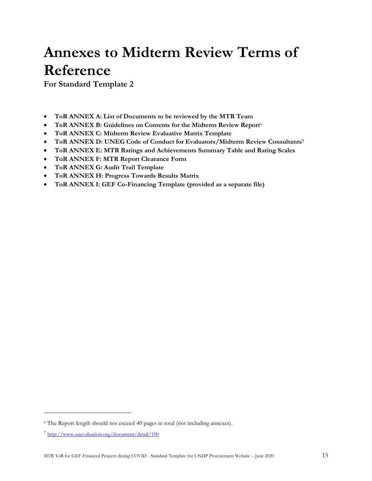# **Annexes to Midterm Review Terms of Reference**

**For Standard Template 2**

- **ToR ANNEX A: List of Documents to be reviewed by the MTR Team**
- **ToR ANNEX B: Guidelines on Contents for the Midterm Review Report**<sup>6</sup>
- **ToR ANNEX C: Midterm Review Evaluative Matrix Template**
- **ToR ANNEX D: UNEG Code of Conduct for Evaluators/Midterm Review Consultants<sup>7</sup>**
- **ToR ANNEX E: MTR Ratings and Achievements Summary Table and Rating Scales**
- **ToR ANNEX F: MTR Report Clearance Form**
- **ToR ANNEX G: Audit Trail Template**
- **ToR ANNEX H: Progress Towards Results Matrix**
- **ToR ANNEX I: GEF Co-Financing Template (provided as a separate file)**

<sup>6</sup> The Report length should not exceed *40* pages in total (not including annexes).

<sup>&</sup>lt;sup>7</sup> <http://www.unevaluation.org/document/detail/100>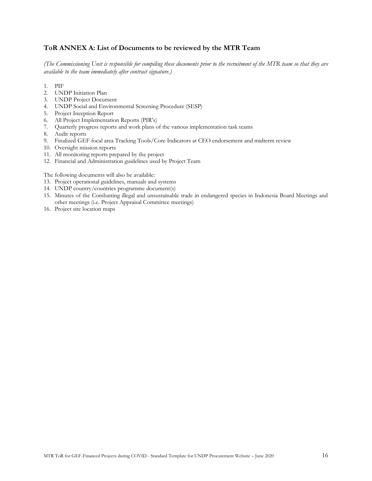## **ToR ANNEX A: List of Documents to be reviewed by the MTR Team**

*(The Commissioning Unit is responsible for compiling these documents prior to the recruitment of the MTR team so that they are available to the team immediately after contract signature.)*

- 1. PIF
- 2. UNDP Initiation Plan
- 3. UNDP Project Document
- 4. UNDP Social and Environmental Screening Procedure (SESP)
- 5. Project Inception Report
- 6. All Project Implementation Reports (PIR's)
- 7. Quarterly progress reports and work plans of the various implementation task teams
- 8. Audit reports
- 9. Finalized GEF focal area Tracking Tools/Core Indicators at CEO endorsement and midterm review
- 10. Oversight mission reports
- 11. All monitoring reports prepared by the project
- 12. Financial and Administration guidelines used by Project Team

The following documents will also be available:

- 13. Project operational guidelines, manuals and systems
- 14. UNDP country/countries programme document(s)
- 15. Minutes of the Combatting illegal and unsustainable trade in endangered species in Indonesia Board Meetings and other meetings (i.e. Project Appraisal Committee meetings)
- 16. Project site location maps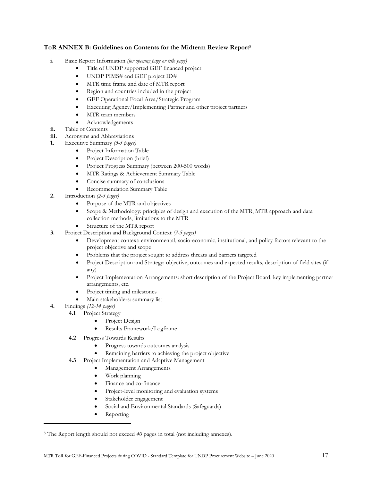## **ToR ANNEX B: Guidelines on Contents for the Midterm Review Report**<sup>8</sup>

- **i.** Basic Report Information *(for opening page or title page)*
	- Title of UNDP supported GEF financed project
	- UNDP PIMS# and GEF project ID#
	- MTR time frame and date of MTR report
	- Region and countries included in the project
	- GEF Operational Focal Area/Strategic Program
	- Executing Agency/Implementing Partner and other project partners
	- MTR team members
	- Acknowledgements
- **ii.** Table of Contents
- **iii.** Acronyms and Abbreviations
- **1.** Executive Summary *(3-5 pages)*
	- Project Information Table
	- Project Description (brief)
	- Project Progress Summary (between 200-500 words)
	- MTR Ratings & Achievement Summary Table
	- Concise summary of conclusions
	- Recommendation Summary Table
- **2.** Introduction *(2-3 pages)*
	- Purpose of the MTR and objectives
	- Scope & Methodology: principles of design and execution of the MTR, MTR approach and data collection methods, limitations to the MTR
	- Structure of the MTR report
- **3.** Project Description and Background Context *(3-5 pages)*
	- Development context: environmental, socio-economic, institutional, and policy factors relevant to the project objective and scope
	- Problems that the project sought to address threats and barriers targeted
	- Project Description and Strategy: objective, outcomes and expected results, description of field sites (if any)
	- Project Implementation Arrangements: short description of the Project Board, key implementing partner arrangements, etc.
	- Project timing and milestones
	- Main stakeholders: summary list
- **4.** Findings *(12-14 pages)*
	- **4.1** Project Strategy
		- Project Design
		- Results Framework/Logframe
	- **4.2** Progress Towards Results
		- Progress towards outcomes analysis
		- Remaining barriers to achieving the project objective
	- **4.3** Project Implementation and Adaptive Management
		- Management Arrangements
		- Work planning
		- Finance and co-finance
		- Project-level monitoring and evaluation systems
		- Stakeholder engagement
		- Social and Environmental Standards (Safeguards)
		- Reporting

<sup>8</sup> The Report length should not exceed *40* pages in total (not including annexes).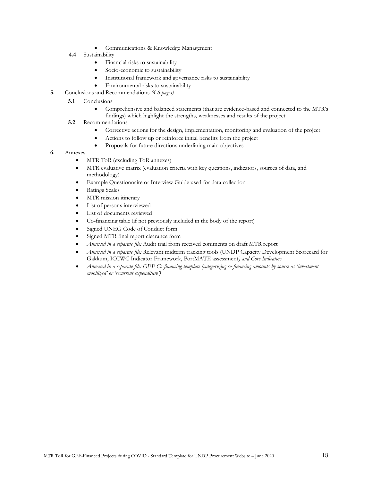- Communications & Knowledge Management
- **4.4** Sustainability
	- Financial risks to sustainability
	- Socio-economic to sustainability
	- Institutional framework and governance risks to sustainability
	- Environmental risks to sustainability
- **5.** Conclusions and Recommendations *(4-6 pages)*
	- **5.1**  Conclusions
		- Comprehensive and balanced statements (that are evidence-based and connected to the MTR's findings) which highlight the strengths, weaknesses and results of the project
	- **5.2** Recommendations
		- Corrective actions for the design, implementation, monitoring and evaluation of the project
		- Actions to follow up or reinforce initial benefits from the project
		- Proposals for future directions underlining main objectives
- **6.** Annexes
	- MTR ToR (excluding ToR annexes)
	- MTR evaluative matrix (evaluation criteria with key questions, indicators, sources of data, and methodology)
	- Example Questionnaire or Interview Guide used for data collection
	- Ratings Scales
	- MTR mission itinerary
	- List of persons interviewed
	- List of documents reviewed
	- Co-financing table (if not previously included in the body of the report)
	- Signed UNEG Code of Conduct form
	- Signed MTR final report clearance form
	- *Annexed in a separate file:* Audit trail from received comments on draft MTR report
	- *Annexed in a separate file:* Relevant midterm tracking tools (UNDP Capacity Development Scorecard for Gakkum, ICCWC Indicator Framework, PortMATE assessment*) and Core Indicators*
	- *Annexed in a separate file: GEF Co-financing template (categorizing co-financing amounts by source as 'investment mobilized' or 'recurrent expenditure')*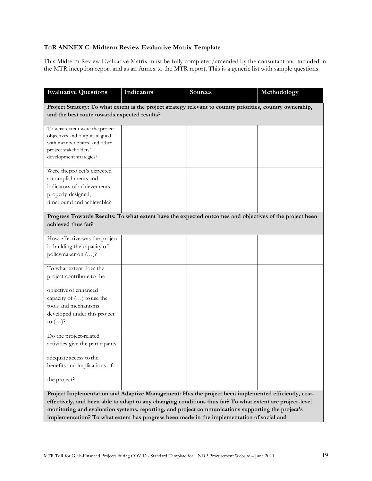# **ToR ANNEX C: Midterm Review Evaluative Matrix Template**

This Midterm Review Evaluative Matrix must be fully completed/amended by the consultant and included in the MTR inception report and as an Annex to the MTR report. This is a generic list with sample questions.

| <b>Evaluative Questions</b>                                                                                                                                                                                                                                                                                                                                                                                        | Indicators | <b>Sources</b> | Methodology |
|--------------------------------------------------------------------------------------------------------------------------------------------------------------------------------------------------------------------------------------------------------------------------------------------------------------------------------------------------------------------------------------------------------------------|------------|----------------|-------------|
| Project Strategy: To what extent is the project strategy relevant to country priorities, country ownership,<br>and the best route towards expected results?                                                                                                                                                                                                                                                        |            |                |             |
| To what extent were the project<br>objectives and outputs aligned<br>with member States' and other<br>project stakeholders'<br>development strategies?                                                                                                                                                                                                                                                             |            |                |             |
| Were the project's expected<br>accomplishments and<br>indicators of achievements<br>properly designed,<br>timebound and achievable?                                                                                                                                                                                                                                                                                |            |                |             |
| Progress Towards Results: To what extent have the expected outcomes and objectives of the project been<br>achieved thus far?                                                                                                                                                                                                                                                                                       |            |                |             |
| How effective was the project<br>in building the capacity of<br>policymaker on ()?                                                                                                                                                                                                                                                                                                                                 |            |                |             |
| To what extent does the<br>project contribute to the                                                                                                                                                                                                                                                                                                                                                               |            |                |             |
| objective of enhanced<br>capacity of $()$ to use the<br>tools and mechanisms<br>developed under this project<br>to $()$ ?                                                                                                                                                                                                                                                                                          |            |                |             |
| Do the project-related<br>activities give the participants                                                                                                                                                                                                                                                                                                                                                         |            |                |             |
| adequate access to the<br>benefits and implications of<br>the project?                                                                                                                                                                                                                                                                                                                                             |            |                |             |
| Project Implementation and Adaptive Management: Has the project been implemented efficiently, cost-<br>effectively, and been able to adapt to any changing conditions thus far? To what extent are project-level<br>monitoring and evaluation systems, reporting, and project communications supporting the project's<br>implementation? To what extent has progress been made in the implementation of social and |            |                |             |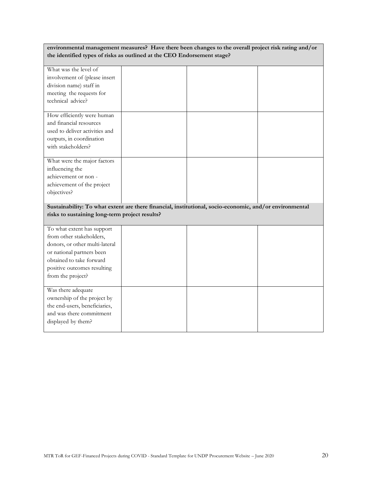| environmental management measures? Have there been changes to the overall project risk rating and/or<br>the identified types of risks as outlined at the CEO Endorsement stage? |  |  |  |
|---------------------------------------------------------------------------------------------------------------------------------------------------------------------------------|--|--|--|
| What was the level of                                                                                                                                                           |  |  |  |
| involvement of (please insert                                                                                                                                                   |  |  |  |
| division name) staff in                                                                                                                                                         |  |  |  |
| meeting the requests for                                                                                                                                                        |  |  |  |
| technical advice?                                                                                                                                                               |  |  |  |
| How efficiently were human                                                                                                                                                      |  |  |  |
| and financial resources                                                                                                                                                         |  |  |  |
| used to deliver activities and                                                                                                                                                  |  |  |  |
| outputs, in coordination                                                                                                                                                        |  |  |  |
| with stakeholders?                                                                                                                                                              |  |  |  |
| What were the major factors                                                                                                                                                     |  |  |  |
| influencing the                                                                                                                                                                 |  |  |  |
| achievement or non -                                                                                                                                                            |  |  |  |
| achievement of the project                                                                                                                                                      |  |  |  |
| objectives?                                                                                                                                                                     |  |  |  |
| Sustainability: To what extent are there financial, institutional, socio-economic, and/or environmental<br>risks to sustaining long-term project results?                       |  |  |  |
| To what extent has support                                                                                                                                                      |  |  |  |
| from other stakeholders,                                                                                                                                                        |  |  |  |
| donors, or other multi-lateral                                                                                                                                                  |  |  |  |
|                                                                                                                                                                                 |  |  |  |
| or national partners been                                                                                                                                                       |  |  |  |
| obtained to take forward                                                                                                                                                        |  |  |  |
| positive outcomes resulting                                                                                                                                                     |  |  |  |
| from the project?                                                                                                                                                               |  |  |  |
| Was there adequate                                                                                                                                                              |  |  |  |
| ownership of the project by                                                                                                                                                     |  |  |  |
| the end-users, beneficiaries,                                                                                                                                                   |  |  |  |
| and was there commitment                                                                                                                                                        |  |  |  |
| displayed by them?                                                                                                                                                              |  |  |  |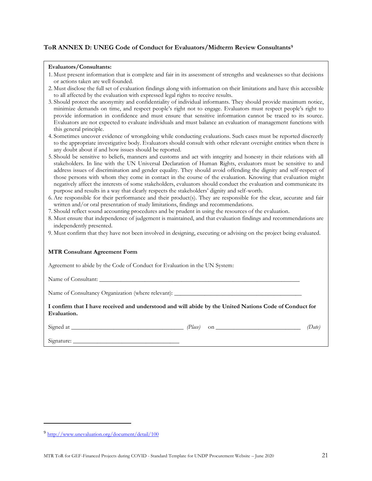## **ToR ANNEX D: UNEG Code of Conduct for Evaluators/Midterm Review Consultants<sup>9</sup>**

#### **Evaluators/Consultants:**

- 1. Must present information that is complete and fair in its assessment of strengths and weaknesses so that decisions or actions taken are well founded.
- 2. Must disclose the full set of evaluation findings along with information on their limitations and have this accessible to all affected by the evaluation with expressed legal rights to receive results.
- 3. Should protect the anonymity and confidentiality of individual informants. They should provide maximum notice, minimize demands on time, and respect people's right not to engage. Evaluators must respect people's right to provide information in confidence and must ensure that sensitive information cannot be traced to its source. Evaluators are not expected to evaluate individuals and must balance an evaluation of management functions with this general principle.
- 4. Sometimes uncover evidence of wrongdoing while conducting evaluations. Such cases must be reported discreetly to the appropriate investigative body. Evaluators should consult with other relevant oversight entities when there is any doubt about if and how issues should be reported.
- 5. Should be sensitive to beliefs, manners and customs and act with integrity and honesty in their relations with all stakeholders. In line with the UN Universal Declaration of Human Rights, evaluators must be sensitive to and address issues of discrimination and gender equality. They should avoid offending the dignity and self-respect of those persons with whom they come in contact in the course of the evaluation. Knowing that evaluation might negatively affect the interests of some stakeholders, evaluators should conduct the evaluation and communicate its purpose and results in a way that clearly respects the stakeholders' dignity and self-worth.
- 6. Are responsible for their performance and their product(s). They are responsible for the clear, accurate and fair written and/or oral presentation of study limitations, findings and recommendations.
- 7. Should reflect sound accounting procedures and be prudent in using the resources of the evaluation.
- 8. Must ensure that independence of judgement is maintained, and that evaluation findings and recommendations are independently presented.
- 9. Must confirm that they have not been involved in designing, executing or advising on the project being evaluated.

#### **MTR Consultant Agreement Form**

Agreement to abide by the Code of Conduct for Evaluation in the UN System:

Name of Consultant:

Name of Consultancy Organization (where relevant):

**I confirm that I have received and understood and will abide by the United Nations Code of Conduct for Evaluation.** 

 $Signed at$   $(Date)$  on  $(Date)$ 

Signature:

<sup>9</sup> <http://www.unevaluation.org/document/detail/100>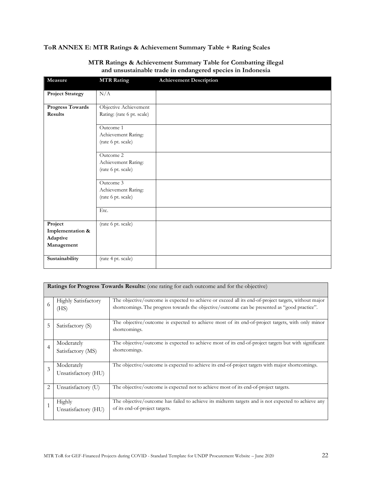# **ToR ANNEX E: MTR Ratings & Achievement Summary Table + Rating Scales**

| Measure                 | <b>MTR Rating</b>          | <b>Achievement Description</b> |
|-------------------------|----------------------------|--------------------------------|
| <b>Project Strategy</b> | N/A                        |                                |
| <b>Progress Towards</b> | Objective Achievement      |                                |
| Results                 | Rating: (rate 6 pt. scale) |                                |
|                         | Outcome 1                  |                                |
|                         | Achievement Rating:        |                                |
|                         | (rate 6 pt. scale)         |                                |
|                         | Outcome 2                  |                                |
|                         | Achievement Rating:        |                                |
|                         | (rate 6 pt. scale)         |                                |
|                         | Outcome 3                  |                                |
|                         | Achievement Rating:        |                                |
|                         | (rate 6 pt. scale)         |                                |
|                         | Etc.                       |                                |
| Project                 | (rate 6 pt. scale)         |                                |
| Implementation &        |                            |                                |
| Adaptive                |                            |                                |
| Management              |                            |                                |
| Sustainability          | (rate 4 pt. scale)         |                                |

## **MTR Ratings & Achievement Summary Table for Combatting illegal and unsustainable trade in endangered species in Indonesia**

|                | Ratings for Progress Towards Results: (one rating for each outcome and for the objective) |                                                                                                                                                                                                       |  |  |
|----------------|-------------------------------------------------------------------------------------------|-------------------------------------------------------------------------------------------------------------------------------------------------------------------------------------------------------|--|--|
| 6              | <b>Highly Satisfactory</b><br>(HS)                                                        | The objective/outcome is expected to achieve or exceed all its end-of-project targets, without major<br>shortcomings. The progress towards the objective/outcome can be presented as "good practice". |  |  |
| 5              | Satisfactory (S)                                                                          | The objective/outcome is expected to achieve most of its end-of-project targets, with only minor<br>shortcomings.                                                                                     |  |  |
| $\overline{4}$ | Moderately<br>Satisfactory (MS)                                                           | The objective/outcome is expected to achieve most of its end-of-project targets but with significant<br>shortcomings.                                                                                 |  |  |
| 3              | Moderately<br>Unsatisfactory (HU)                                                         | The objective/outcome is expected to achieve its end-of-project targets with major shortcomings.                                                                                                      |  |  |
| $\overline{2}$ | Unsatisfactory (U)                                                                        | The objective/outcome is expected not to achieve most of its end-of-project targets.                                                                                                                  |  |  |
| $\mathbf{1}$   | Highly<br>Unsatisfactory (HU)                                                             | The objective/outcome has failed to achieve its midterm targets and is not expected to achieve any<br>of its end-of-project targets.                                                                  |  |  |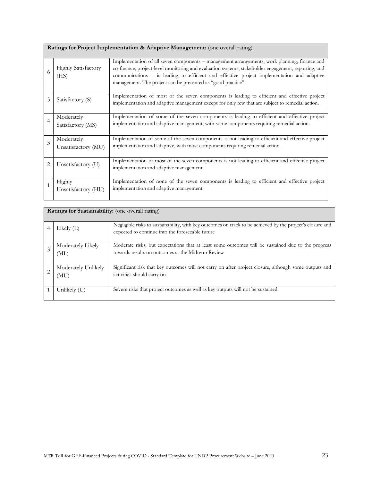|  | Ratings for Project Implementation & Adaptive Management: (one overall rating) |
|--|--------------------------------------------------------------------------------|
|  |                                                                                |

| 6              | <b>Highly Satisfactory</b><br>(HS) | Implementation of all seven components – management arrangements, work planning, finance and<br>co-finance, project-level monitoring and evaluation systems, stakeholder engagement, reporting, and<br>communications – is leading to efficient and effective project implementation and adaptive<br>management. The project can be presented as "good practice". |
|----------------|------------------------------------|-------------------------------------------------------------------------------------------------------------------------------------------------------------------------------------------------------------------------------------------------------------------------------------------------------------------------------------------------------------------|
| 5              | Satisfactory (S)                   | Implementation of most of the seven components is leading to efficient and effective project<br>implementation and adaptive management except for only few that are subject to remedial action.                                                                                                                                                                   |
| 4              | Moderately<br>Satisfactory (MS)    | Implementation of some of the seven components is leading to efficient and effective project<br>implementation and adaptive management, with some components requiring remedial action.                                                                                                                                                                           |
| 3              | Moderately<br>Unsatisfactory (MU)  | Implementation of some of the seven components is not leading to efficient and effective project<br>implementation and adaptive, with most components requiring remedial action.                                                                                                                                                                                  |
| $\overline{2}$ | Unsatisfactory (U)                 | Implementation of most of the seven components is not leading to efficient and effective project<br>implementation and adaptive management.                                                                                                                                                                                                                       |
|                | Highly<br>Unsatisfactory (HU)      | Implementation of none of the seven components is leading to efficient and effective project<br>implementation and adaptive management.                                                                                                                                                                                                                           |

| <b>Ratings for Sustainability:</b> (one overall rating) |                                                                                                                                                                |
|---------------------------------------------------------|----------------------------------------------------------------------------------------------------------------------------------------------------------------|
| Likely $(L)$                                            | Negligible risks to sustainability, with key outcomes on track to be achieved by the project's closure and<br>expected to continue into the foreseeable future |
| Moderately Likely<br>(ML)                               | Moderate risks, but expectations that at least some outcomes will be sustained due to the progress<br>towards results on outcomes at the Midterm Review        |
| Moderately Unlikely<br>(MU)                             | Significant risk that key outcomes will not carry on after project closure, although some outputs and<br>activities should carry on                            |
| Unlikely (U)                                            | Severe risks that project outcomes as well as key outputs will not be sustained                                                                                |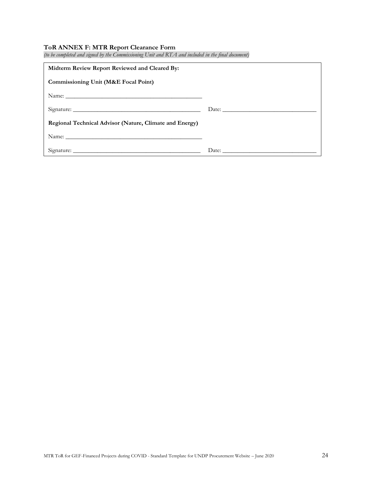#### **ToR ANNEX F: MTR Report Clearance Form**

| $\sim$ . The complete with the contribution of the commencement $\sim$ . The with $\sim$ contribution in the product contribution<br>Midterm Review Report Reviewed and Cleared By: |       |
|-------------------------------------------------------------------------------------------------------------------------------------------------------------------------------------|-------|
| Commissioning Unit (M&E Focal Point)                                                                                                                                                |       |
|                                                                                                                                                                                     |       |
|                                                                                                                                                                                     | Date: |
| Regional Technical Advisor (Nature, Climate and Energy)                                                                                                                             |       |
| Name: Name:                                                                                                                                                                         |       |
|                                                                                                                                                                                     |       |

*(to be completed and signed by the Commissioning Unit and RTA and included in the final document)*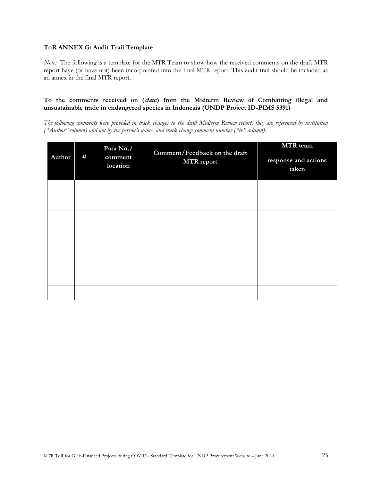## **ToR ANNEX G: Audit Trail Template**

*Note:* The following is a template for the MTR Team to show how the received comments on the draft MTR report have (or have not) been incorporated into the final MTR report. This audit trail should be included as an annex in the final MTR report.

## **To the comments received on (date) from the Midterm Review of Combatting illegal and unsustainable trade in endangered species in Indonesia (UNDP Project ID-PIMS 5391)**

*The following comments were provided in track changes to the draft Midterm Review report; they are referenced by institution ("Author" column) and not by the person's name, and track change comment number ("#" column):*

| Author | # | Para No./<br>comment<br>location | Comment/Feedback on the draft<br><b>MTR</b> report | <b>MTR</b> team<br>response and actions<br>taken |
|--------|---|----------------------------------|----------------------------------------------------|--------------------------------------------------|
|        |   |                                  |                                                    |                                                  |
|        |   |                                  |                                                    |                                                  |
|        |   |                                  |                                                    |                                                  |
|        |   |                                  |                                                    |                                                  |
|        |   |                                  |                                                    |                                                  |
|        |   |                                  |                                                    |                                                  |
|        |   |                                  |                                                    |                                                  |
|        |   |                                  |                                                    |                                                  |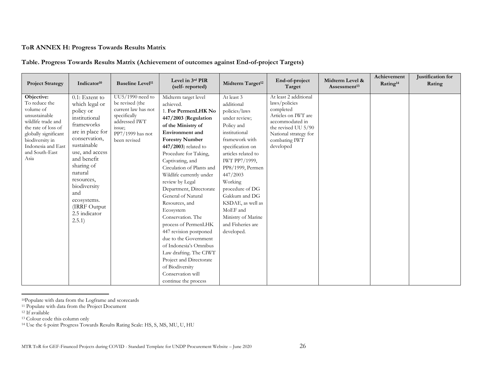# **ToR ANNEX H: Progress Towards Results Matrix**

## **Table. Progress Towards Results Matrix (Achievement of outcomes against End-of-project Targets)**

| <b>Project Strategy</b>                                                                                                                                                                           | Indicator <sup>10</sup>                                                                                                                                                                                                                                                                     | <b>Baseline Level<sup>11</sup></b>                                                                                                          | Level in 3rd PIR<br>(self-reported)                                                                                                                                                                                                                                                                                                                                                                                                                                                                                                                                                                                                         | Midterm Target <sup>12</sup>                                                                                                                                                                                                                                                                                                                     | End-of-project<br>Target                                                                                                                                                    | Midterm Level &<br>Assessment <sup>13</sup> | Achievement<br>Rating <sup>14</sup> | Justification for<br>Rating |
|---------------------------------------------------------------------------------------------------------------------------------------------------------------------------------------------------|---------------------------------------------------------------------------------------------------------------------------------------------------------------------------------------------------------------------------------------------------------------------------------------------|---------------------------------------------------------------------------------------------------------------------------------------------|---------------------------------------------------------------------------------------------------------------------------------------------------------------------------------------------------------------------------------------------------------------------------------------------------------------------------------------------------------------------------------------------------------------------------------------------------------------------------------------------------------------------------------------------------------------------------------------------------------------------------------------------|--------------------------------------------------------------------------------------------------------------------------------------------------------------------------------------------------------------------------------------------------------------------------------------------------------------------------------------------------|-----------------------------------------------------------------------------------------------------------------------------------------------------------------------------|---------------------------------------------|-------------------------------------|-----------------------------|
| Objective:<br>To reduce the<br>volume of<br>unsustainable<br>wildlife trade and<br>the rate of loss of<br>globally significant<br>biodiversity in<br>Indonesia and East<br>and South-East<br>Asia | 0.1: Extent to<br>which legal or<br>policy or<br>institutional<br>frameworks<br>are in place for<br>conservation,<br>sustainable<br>use, and access<br>and benefit<br>sharing of<br>natural<br>resources,<br>biodiversity<br>and<br>ecosystems.<br>(IRRF Output)<br>2.5 indicator<br>2.5.1) | $UU5/1990$ need to<br>be revised (the<br>current law has not<br>specifically<br>addressed IWT<br>issue;<br>PP7/1999 has not<br>been revised | Midterm target level<br>achieved.<br>1. For PermenLHK No<br>447/2003 (Regulation<br>of the Ministry of<br><b>Environment</b> and<br><b>Forestry Number</b><br>$447/2003$ related to<br>Procedure for Taking,<br>Captivating, and<br>Circulation of Plants and<br>Wildlife currently under<br>review by Legal<br>Department, Directorate<br>General of Natural<br>Resources, and<br>Ecosystem<br>Conservation. The<br>process of PermenLHK<br>447 revision postponed<br>due to the Government<br>of Indonesia's Omnibus<br>Law drafting. The CIWT<br>Project and Directorate<br>of Biodiversity<br>Conservation will<br>continue the process | At least 3<br>additional<br>policies/laws<br>under review;<br>Policy and<br>institutional<br>framework with<br>specification on<br>articles related to<br>IWT PP7/1999,<br>PP8/1999, Permen<br>447/2003<br>Working<br>procedure of DG<br>Gakkum and DG<br>KSDAE, as well as<br>MoEF and<br>Ministry of Marine<br>and Fisheries are<br>developed. | At least 2 additional<br>laws/policies<br>completed<br>Articles on IWT are<br>accommodated in<br>the revised UU 5/90<br>National strategy for<br>combating IWT<br>developed |                                             |                                     |                             |

<sup>10</sup>Populate with data from the Logframe and scorecards

<sup>11</sup> Populate with data from the Project Document

<sup>&</sup>lt;sup>12</sup> If available

<sup>13</sup> Colour code this column only

<sup>14</sup> Use the 6 point Progress Towards Results Rating Scale: HS, S, MS, MU, U, HU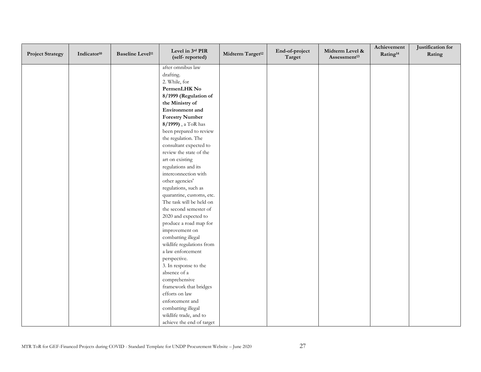| <b>Project Strategy</b> | Indicator <sup>10</sup> | <b>Baseline Level<sup>11</sup></b> | Level in 3rd PIR<br>(self-reported) | Midterm Target <sup>12</sup> | End-of-project<br>Target | Midterm Level &<br>Assessment <sup>13</sup> | Achievement<br>Rating <sup>14</sup> | Justification for<br>Rating |
|-------------------------|-------------------------|------------------------------------|-------------------------------------|------------------------------|--------------------------|---------------------------------------------|-------------------------------------|-----------------------------|
|                         |                         |                                    | after omnibus law                   |                              |                          |                                             |                                     |                             |
|                         |                         |                                    | drafting.                           |                              |                          |                                             |                                     |                             |
|                         |                         |                                    | 2. While, for                       |                              |                          |                                             |                                     |                             |
|                         |                         |                                    | PermenLHK No                        |                              |                          |                                             |                                     |                             |
|                         |                         |                                    | 8/1999 (Regulation of               |                              |                          |                                             |                                     |                             |
|                         |                         |                                    | the Ministry of                     |                              |                          |                                             |                                     |                             |
|                         |                         |                                    | Environment and                     |                              |                          |                                             |                                     |                             |
|                         |                         |                                    | <b>Forestry Number</b>              |                              |                          |                                             |                                     |                             |
|                         |                         |                                    | 8/1999), a ToR has                  |                              |                          |                                             |                                     |                             |
|                         |                         |                                    | been prepared to review             |                              |                          |                                             |                                     |                             |
|                         |                         |                                    | the regulation. The                 |                              |                          |                                             |                                     |                             |
|                         |                         |                                    | consultant expected to              |                              |                          |                                             |                                     |                             |
|                         |                         |                                    | review the state of the             |                              |                          |                                             |                                     |                             |
|                         |                         |                                    | art on existing                     |                              |                          |                                             |                                     |                             |
|                         |                         |                                    | regulations and its                 |                              |                          |                                             |                                     |                             |
|                         |                         |                                    | interconnection with                |                              |                          |                                             |                                     |                             |
|                         |                         |                                    | other agencies'                     |                              |                          |                                             |                                     |                             |
|                         |                         |                                    | regulations, such as                |                              |                          |                                             |                                     |                             |
|                         |                         |                                    | quarantine, customs, etc.           |                              |                          |                                             |                                     |                             |
|                         |                         |                                    | The task will be held on            |                              |                          |                                             |                                     |                             |
|                         |                         |                                    | the second semester of              |                              |                          |                                             |                                     |                             |
|                         |                         |                                    | 2020 and expected to                |                              |                          |                                             |                                     |                             |
|                         |                         |                                    | produce a road map for              |                              |                          |                                             |                                     |                             |
|                         |                         |                                    | improvement on                      |                              |                          |                                             |                                     |                             |
|                         |                         |                                    | combatting illegal                  |                              |                          |                                             |                                     |                             |
|                         |                         |                                    | wildlife regulations from           |                              |                          |                                             |                                     |                             |
|                         |                         |                                    | a law enforcement                   |                              |                          |                                             |                                     |                             |
|                         |                         |                                    | perspective.                        |                              |                          |                                             |                                     |                             |
|                         |                         |                                    | 3. In response to the               |                              |                          |                                             |                                     |                             |
|                         |                         |                                    | absence of a                        |                              |                          |                                             |                                     |                             |
|                         |                         |                                    | comprehensive                       |                              |                          |                                             |                                     |                             |
|                         |                         |                                    | framework that bridges              |                              |                          |                                             |                                     |                             |
|                         |                         |                                    | efforts on law                      |                              |                          |                                             |                                     |                             |
|                         |                         |                                    | enforcement and                     |                              |                          |                                             |                                     |                             |
|                         |                         |                                    | combatting illegal                  |                              |                          |                                             |                                     |                             |
|                         |                         |                                    | wildlife trade, and to              |                              |                          |                                             |                                     |                             |
|                         |                         |                                    | achieve the end of target           |                              |                          |                                             |                                     |                             |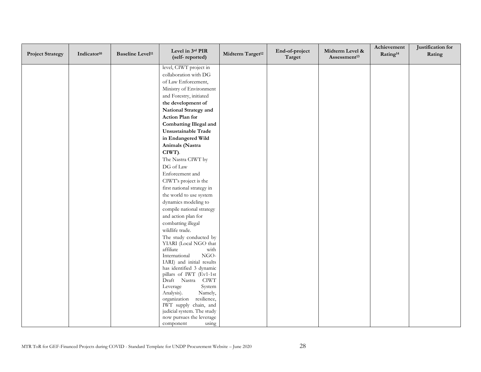| <b>Project Strategy</b> | Indicator <sup>10</sup> | <b>Baseline Level<sup>11</sup></b> | Level in 3rd PIR<br>(self-reported)                  | Midterm Target <sup>12</sup> | End-of-project<br>Target | Midterm Level &<br>Assessment <sup>13</sup> | Achievement<br>Rating <sup>14</sup> | Justification for<br>Rating |
|-------------------------|-------------------------|------------------------------------|------------------------------------------------------|------------------------------|--------------------------|---------------------------------------------|-------------------------------------|-----------------------------|
|                         |                         |                                    | level, CIWT project in                               |                              |                          |                                             |                                     |                             |
|                         |                         |                                    | collaboration with DG                                |                              |                          |                                             |                                     |                             |
|                         |                         |                                    | of Law Enforcement,                                  |                              |                          |                                             |                                     |                             |
|                         |                         |                                    | Ministry of Environment                              |                              |                          |                                             |                                     |                             |
|                         |                         |                                    | and Forestry, initiated                              |                              |                          |                                             |                                     |                             |
|                         |                         |                                    | the development of                                   |                              |                          |                                             |                                     |                             |
|                         |                         |                                    | National Strategy and                                |                              |                          |                                             |                                     |                             |
|                         |                         |                                    | Action Plan for                                      |                              |                          |                                             |                                     |                             |
|                         |                         |                                    | <b>Combatting Illegal and</b>                        |                              |                          |                                             |                                     |                             |
|                         |                         |                                    | Unsustainable Trade                                  |                              |                          |                                             |                                     |                             |
|                         |                         |                                    | in Endangered Wild                                   |                              |                          |                                             |                                     |                             |
|                         |                         |                                    | Animals (Nastra                                      |                              |                          |                                             |                                     |                             |
|                         |                         |                                    | CIWT).                                               |                              |                          |                                             |                                     |                             |
|                         |                         |                                    | The Nastra CIWT by                                   |                              |                          |                                             |                                     |                             |
|                         |                         |                                    | DG of Law                                            |                              |                          |                                             |                                     |                             |
|                         |                         |                                    | Enforcement and                                      |                              |                          |                                             |                                     |                             |
|                         |                         |                                    | CIWT's project is the                                |                              |                          |                                             |                                     |                             |
|                         |                         |                                    | first national strategy in                           |                              |                          |                                             |                                     |                             |
|                         |                         |                                    | the world to use system                              |                              |                          |                                             |                                     |                             |
|                         |                         |                                    | dynamics modeling to                                 |                              |                          |                                             |                                     |                             |
|                         |                         |                                    | compile national strategy                            |                              |                          |                                             |                                     |                             |
|                         |                         |                                    | and action plan for                                  |                              |                          |                                             |                                     |                             |
|                         |                         |                                    | combatting illegal                                   |                              |                          |                                             |                                     |                             |
|                         |                         |                                    | wildlife trade.                                      |                              |                          |                                             |                                     |                             |
|                         |                         |                                    | The study conducted by                               |                              |                          |                                             |                                     |                             |
|                         |                         |                                    | YIARI (Local NGO that                                |                              |                          |                                             |                                     |                             |
|                         |                         |                                    | affiliate<br>with<br>$_{\rm NGO}$<br>International   |                              |                          |                                             |                                     |                             |
|                         |                         |                                    | IARI) and initial results                            |                              |                          |                                             |                                     |                             |
|                         |                         |                                    | has identified 3 dynamic                             |                              |                          |                                             |                                     |                             |
|                         |                         |                                    | pillars of IWT (Ev1-1st                              |                              |                          |                                             |                                     |                             |
|                         |                         |                                    | Draft Nastra CIWT                                    |                              |                          |                                             |                                     |                             |
|                         |                         |                                    | Leverage<br>System                                   |                              |                          |                                             |                                     |                             |
|                         |                         |                                    | Analysis).<br>Namely,                                |                              |                          |                                             |                                     |                             |
|                         |                         |                                    | resilience,<br>organization<br>IWT supply chain, and |                              |                          |                                             |                                     |                             |
|                         |                         |                                    | judicial system. The study                           |                              |                          |                                             |                                     |                             |
|                         |                         |                                    | now pursues the leverage                             |                              |                          |                                             |                                     |                             |
|                         |                         |                                    | using<br>component                                   |                              |                          |                                             |                                     |                             |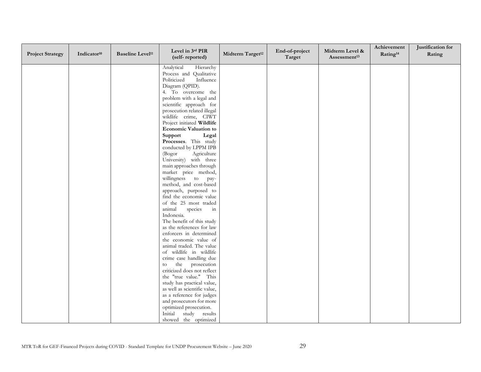| <b>Project Strategy</b> | Indicator <sup>10</sup> | <b>Baseline Level<sup>11</sup></b> | Level in 3rd PIR<br>(self-reported)                  | Midterm Target <sup>12</sup> | End-of-project<br>Target | Midterm Level &<br>Assessment <sup>13</sup> | Achievement<br>Rating <sup>14</sup> | Justification for<br>Rating |
|-------------------------|-------------------------|------------------------------------|------------------------------------------------------|------------------------------|--------------------------|---------------------------------------------|-------------------------------------|-----------------------------|
|                         |                         |                                    | Analytical<br>Hierarchy                              |                              |                          |                                             |                                     |                             |
|                         |                         |                                    | Process and Qualitative                              |                              |                          |                                             |                                     |                             |
|                         |                         |                                    | Politicized<br>Influence                             |                              |                          |                                             |                                     |                             |
|                         |                         |                                    | Diagram (QPID).                                      |                              |                          |                                             |                                     |                             |
|                         |                         |                                    | 4. To overcome the                                   |                              |                          |                                             |                                     |                             |
|                         |                         |                                    | problem with a legal and                             |                              |                          |                                             |                                     |                             |
|                         |                         |                                    | scientific approach for                              |                              |                          |                                             |                                     |                             |
|                         |                         |                                    | prosecution related illegal                          |                              |                          |                                             |                                     |                             |
|                         |                         |                                    | wildlife crime, CIWT<br>Project initiated Wildlife   |                              |                          |                                             |                                     |                             |
|                         |                         |                                    | <b>Economic Valuation to</b>                         |                              |                          |                                             |                                     |                             |
|                         |                         |                                    | Support<br>Legal                                     |                              |                          |                                             |                                     |                             |
|                         |                         |                                    | Processes. This study                                |                              |                          |                                             |                                     |                             |
|                         |                         |                                    | conducted by LPPM IPB                                |                              |                          |                                             |                                     |                             |
|                         |                         |                                    | (Bogor<br>Agriculture                                |                              |                          |                                             |                                     |                             |
|                         |                         |                                    | University) with three                               |                              |                          |                                             |                                     |                             |
|                         |                         |                                    | main approaches through                              |                              |                          |                                             |                                     |                             |
|                         |                         |                                    | market price method,                                 |                              |                          |                                             |                                     |                             |
|                         |                         |                                    | willingness to pay-                                  |                              |                          |                                             |                                     |                             |
|                         |                         |                                    | method, and cost-based                               |                              |                          |                                             |                                     |                             |
|                         |                         |                                    | approach, purposed to                                |                              |                          |                                             |                                     |                             |
|                         |                         |                                    | find the economic value                              |                              |                          |                                             |                                     |                             |
|                         |                         |                                    | of the 25 most traded                                |                              |                          |                                             |                                     |                             |
|                         |                         |                                    | species<br>animal<br>in                              |                              |                          |                                             |                                     |                             |
|                         |                         |                                    | Indonesia.                                           |                              |                          |                                             |                                     |                             |
|                         |                         |                                    | The benefit of this study                            |                              |                          |                                             |                                     |                             |
|                         |                         |                                    | as the references for law<br>enforcers in determined |                              |                          |                                             |                                     |                             |
|                         |                         |                                    | the economic value of                                |                              |                          |                                             |                                     |                             |
|                         |                         |                                    | animal traded. The value                             |                              |                          |                                             |                                     |                             |
|                         |                         |                                    | of wildlife in wildlife                              |                              |                          |                                             |                                     |                             |
|                         |                         |                                    | crime case handling due                              |                              |                          |                                             |                                     |                             |
|                         |                         |                                    | the prosecution<br>to                                |                              |                          |                                             |                                     |                             |
|                         |                         |                                    | criticized does not reflect                          |                              |                          |                                             |                                     |                             |
|                         |                         |                                    | the "true value." This                               |                              |                          |                                             |                                     |                             |
|                         |                         |                                    | study has practical value,                           |                              |                          |                                             |                                     |                             |
|                         |                         |                                    | as well as scientific value,                         |                              |                          |                                             |                                     |                             |
|                         |                         |                                    | as a reference for judges                            |                              |                          |                                             |                                     |                             |
|                         |                         |                                    | and prosecutors for more                             |                              |                          |                                             |                                     |                             |
|                         |                         |                                    | optimized prosecution.                               |                              |                          |                                             |                                     |                             |
|                         |                         |                                    | Initial study results                                |                              |                          |                                             |                                     |                             |
|                         |                         |                                    | showed the optimized                                 |                              |                          |                                             |                                     |                             |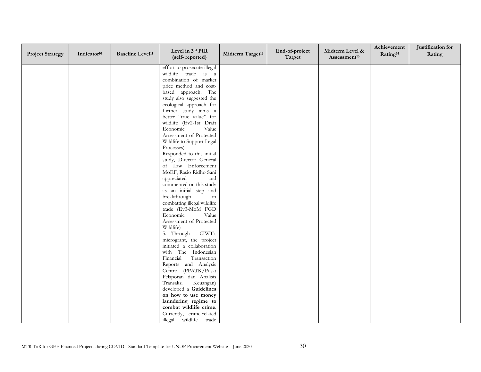| <b>Project Strategy</b> | Indicator <sup>10</sup> | <b>Baseline Level<sup>11</sup></b> | Level in 3rd PIR<br>(self-reported)                 | Midterm Target <sup>12</sup> | End-of-project<br>Target | Midterm Level &<br>Assessment <sup>13</sup> | Achievement<br>Rating <sup>14</sup> | Justification for<br>Rating |
|-------------------------|-------------------------|------------------------------------|-----------------------------------------------------|------------------------------|--------------------------|---------------------------------------------|-------------------------------------|-----------------------------|
|                         |                         |                                    | effort to prosecute illegal                         |                              |                          |                                             |                                     |                             |
|                         |                         |                                    | wildlife trade is a                                 |                              |                          |                                             |                                     |                             |
|                         |                         |                                    | combination of market                               |                              |                          |                                             |                                     |                             |
|                         |                         |                                    | price method and cost-                              |                              |                          |                                             |                                     |                             |
|                         |                         |                                    | based approach. The                                 |                              |                          |                                             |                                     |                             |
|                         |                         |                                    | study also suggested the<br>ecological approach for |                              |                          |                                             |                                     |                             |
|                         |                         |                                    | further study aims a                                |                              |                          |                                             |                                     |                             |
|                         |                         |                                    | better "true value" for                             |                              |                          |                                             |                                     |                             |
|                         |                         |                                    | wildlife (Ev2-1st Draft                             |                              |                          |                                             |                                     |                             |
|                         |                         |                                    | Economic<br>Value                                   |                              |                          |                                             |                                     |                             |
|                         |                         |                                    | Assessment of Protected                             |                              |                          |                                             |                                     |                             |
|                         |                         |                                    | Wildlife to Support Legal                           |                              |                          |                                             |                                     |                             |
|                         |                         |                                    | Processes).                                         |                              |                          |                                             |                                     |                             |
|                         |                         |                                    | Responded to this initial                           |                              |                          |                                             |                                     |                             |
|                         |                         |                                    | study, Director General<br>of Law Enforcement       |                              |                          |                                             |                                     |                             |
|                         |                         |                                    | MoEF, Rasio Ridho Sani                              |                              |                          |                                             |                                     |                             |
|                         |                         |                                    | appreciated<br>and                                  |                              |                          |                                             |                                     |                             |
|                         |                         |                                    | commented on this study                             |                              |                          |                                             |                                     |                             |
|                         |                         |                                    | as an initial step and                              |                              |                          |                                             |                                     |                             |
|                         |                         |                                    | breakthrough<br>in                                  |                              |                          |                                             |                                     |                             |
|                         |                         |                                    | combatting illegal wildlife                         |                              |                          |                                             |                                     |                             |
|                         |                         |                                    | trade (Ev3-MoM FGD                                  |                              |                          |                                             |                                     |                             |
|                         |                         |                                    | Economic<br>Value<br>Assessment of Protected        |                              |                          |                                             |                                     |                             |
|                         |                         |                                    | Wildlife)                                           |                              |                          |                                             |                                     |                             |
|                         |                         |                                    | 5. Through<br>CIWT's                                |                              |                          |                                             |                                     |                             |
|                         |                         |                                    | microgrant, the project                             |                              |                          |                                             |                                     |                             |
|                         |                         |                                    | initiated a collaboration                           |                              |                          |                                             |                                     |                             |
|                         |                         |                                    | with The Indonesian                                 |                              |                          |                                             |                                     |                             |
|                         |                         |                                    | Financial<br>Transaction                            |                              |                          |                                             |                                     |                             |
|                         |                         |                                    | Reports and Analysis                                |                              |                          |                                             |                                     |                             |
|                         |                         |                                    | Centre (PPATK/Pusat                                 |                              |                          |                                             |                                     |                             |
|                         |                         |                                    | Pelaporan dan Analisis<br>Transaksi<br>Keuangan)    |                              |                          |                                             |                                     |                             |
|                         |                         |                                    | developed a Guidelines                              |                              |                          |                                             |                                     |                             |
|                         |                         |                                    | on how to use money                                 |                              |                          |                                             |                                     |                             |
|                         |                         |                                    | laundering regime to                                |                              |                          |                                             |                                     |                             |
|                         |                         |                                    | combat wildlife crime.                              |                              |                          |                                             |                                     |                             |
|                         |                         |                                    | Currently, crime-related                            |                              |                          |                                             |                                     |                             |
|                         |                         |                                    | illegal wildlife trade                              |                              |                          |                                             |                                     |                             |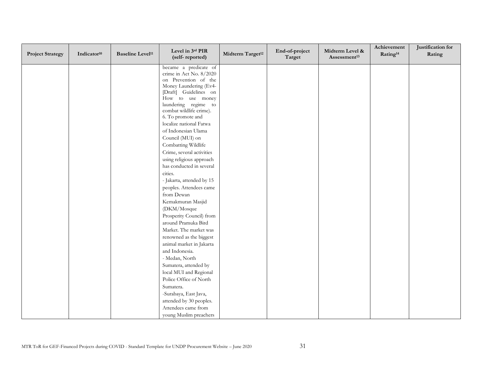| <b>Project Strategy</b> | Indicator <sup>10</sup> | <b>Baseline Level<sup>11</sup></b> | Level in 3rd PIR<br>(self-reported)                  | Midterm Target <sup>12</sup> | End-of-project<br>Target | Midterm Level &<br>Assessment <sup>13</sup> | Achievement<br>Rating <sup>14</sup> | Justification for<br>Rating |
|-------------------------|-------------------------|------------------------------------|------------------------------------------------------|------------------------------|--------------------------|---------------------------------------------|-------------------------------------|-----------------------------|
|                         |                         |                                    | became a predicate of                                |                              |                          |                                             |                                     |                             |
|                         |                         |                                    | crime in Act No. 8/2020                              |                              |                          |                                             |                                     |                             |
|                         |                         |                                    | on Prevention of the<br>Money Laundering (Ev4-       |                              |                          |                                             |                                     |                             |
|                         |                         |                                    | [Draft] Guidelines on                                |                              |                          |                                             |                                     |                             |
|                         |                         |                                    | How to use money                                     |                              |                          |                                             |                                     |                             |
|                         |                         |                                    | laundering regime to                                 |                              |                          |                                             |                                     |                             |
|                         |                         |                                    | combat wildlife crime).                              |                              |                          |                                             |                                     |                             |
|                         |                         |                                    | 6. To promote and                                    |                              |                          |                                             |                                     |                             |
|                         |                         |                                    | localize national Fatwa                              |                              |                          |                                             |                                     |                             |
|                         |                         |                                    | of Indonesian Ulama                                  |                              |                          |                                             |                                     |                             |
|                         |                         |                                    | Council (MUI) on                                     |                              |                          |                                             |                                     |                             |
|                         |                         |                                    | Combatting Wildlife                                  |                              |                          |                                             |                                     |                             |
|                         |                         |                                    | Crime, several activities                            |                              |                          |                                             |                                     |                             |
|                         |                         |                                    | using religious approach<br>has conducted in several |                              |                          |                                             |                                     |                             |
|                         |                         |                                    | cities.                                              |                              |                          |                                             |                                     |                             |
|                         |                         |                                    | - Jakarta, attended by 15                            |                              |                          |                                             |                                     |                             |
|                         |                         |                                    | peoples. Attendees came                              |                              |                          |                                             |                                     |                             |
|                         |                         |                                    | from Dewan                                           |                              |                          |                                             |                                     |                             |
|                         |                         |                                    | Kemakmuran Masjid                                    |                              |                          |                                             |                                     |                             |
|                         |                         |                                    | (DKM/Mosque                                          |                              |                          |                                             |                                     |                             |
|                         |                         |                                    | Prosperity Council) from                             |                              |                          |                                             |                                     |                             |
|                         |                         |                                    | around Pramuka Bird                                  |                              |                          |                                             |                                     |                             |
|                         |                         |                                    | Market. The market was                               |                              |                          |                                             |                                     |                             |
|                         |                         |                                    | renowned as the biggest                              |                              |                          |                                             |                                     |                             |
|                         |                         |                                    | animal market in Jakarta                             |                              |                          |                                             |                                     |                             |
|                         |                         |                                    | and Indonesia.                                       |                              |                          |                                             |                                     |                             |
|                         |                         |                                    | - Medan, North                                       |                              |                          |                                             |                                     |                             |
|                         |                         |                                    | Sumatera, attended by                                |                              |                          |                                             |                                     |                             |
|                         |                         |                                    | local MUI and Regional                               |                              |                          |                                             |                                     |                             |
|                         |                         |                                    | Police Office of North                               |                              |                          |                                             |                                     |                             |
|                         |                         |                                    | Sumatera.                                            |                              |                          |                                             |                                     |                             |
|                         |                         |                                    | -Surabaya, East Java,                                |                              |                          |                                             |                                     |                             |
|                         |                         |                                    | attended by 30 peoples.                              |                              |                          |                                             |                                     |                             |
|                         |                         |                                    | Attendees came from                                  |                              |                          |                                             |                                     |                             |
|                         |                         |                                    | young Muslim preachers                               |                              |                          |                                             |                                     |                             |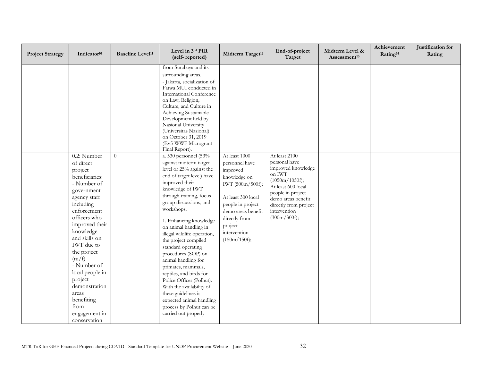| <b>Project Strategy</b> | Indicator <sup>10</sup>                                                                                                                                                                                                                                                                                                                                                   | <b>Baseline Level<sup>11</sup></b> | Level in 3rd PIR<br>(self-reported)                                                                                                                                                                                                                                                                                                                                                                                                                                                                                                                                                                                                                                                                                                                                                                                                                                                                                                                                  | Midterm Target <sup>12</sup>                                                                                                                                                                                 | End-of-project<br>Target                                                                                                                                                                                   | Midterm Level &<br>Assessment <sup>13</sup> | Achievement<br>Rating <sup>14</sup> | Justification for<br>Rating |
|-------------------------|---------------------------------------------------------------------------------------------------------------------------------------------------------------------------------------------------------------------------------------------------------------------------------------------------------------------------------------------------------------------------|------------------------------------|----------------------------------------------------------------------------------------------------------------------------------------------------------------------------------------------------------------------------------------------------------------------------------------------------------------------------------------------------------------------------------------------------------------------------------------------------------------------------------------------------------------------------------------------------------------------------------------------------------------------------------------------------------------------------------------------------------------------------------------------------------------------------------------------------------------------------------------------------------------------------------------------------------------------------------------------------------------------|--------------------------------------------------------------------------------------------------------------------------------------------------------------------------------------------------------------|------------------------------------------------------------------------------------------------------------------------------------------------------------------------------------------------------------|---------------------------------------------|-------------------------------------|-----------------------------|
|                         | 0.2: Number<br>of direct<br>project<br>beneficiaries:<br>- Number of<br>government<br>agency staff<br>including<br>enforcement<br>officers who<br>improved their<br>knowledge<br>and skills on<br><b>IWT</b> due to<br>the project<br>(m/f)<br>- Number of<br>local people in<br>project<br>demonstration<br>areas<br>benefiting<br>from<br>engagement in<br>conservation | $\theta$                           | from Surabaya and its<br>surrounding areas.<br>- Jakarta, socialization of<br>Fatwa MUI conducted in<br>International Conference<br>on Law, Religion,<br>Culture, and Culture in<br>Achieving Sustainable<br>Development held by<br>Nasional University<br>(Universitas Nasional)<br>on October 31, 2019<br>(Ev5-WWF Microgrant<br>Final Report).<br>a. 530 personnel (53%<br>against midterm target<br>level or 25% against the<br>end of target level) have<br>improved their<br>knowledge of IWT<br>through training, focus<br>group discussions, and<br>workshops.<br>1. Enhancing knowledge<br>on animal handling in<br>illegal wildlife operation,<br>the project compiled<br>standard operating<br>procedures (SOP) on<br>animal handling for<br>primates, mammals,<br>reptiles, and birds for<br>Police Officer (Polhut).<br>With the availability of<br>these guidelines is<br>expected animal handling<br>process by Polhut can be<br>carried out properly | At least 1000<br>personnel have<br>improved<br>knowledge on<br>IWT (500m/500f);<br>At least 300 local<br>people in project<br>demo areas benefit<br>directly from<br>project<br>intervention<br>(150m/150f); | At least 2100<br>personal have<br>improved knowledge<br>on IWT<br>(1050m/1050f);<br>At least 600 local<br>people in project<br>demo areas benefit<br>directly from project<br>intervention<br>(300m/300f); |                                             |                                     |                             |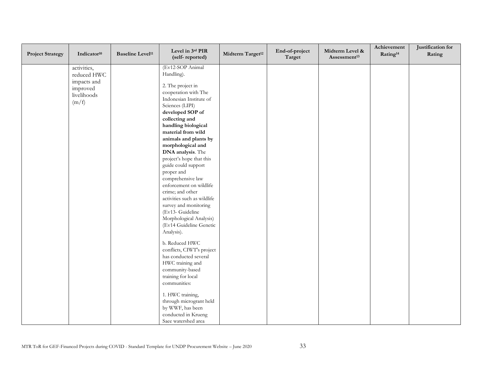| <b>Project Strategy</b> | Indicator <sup>10</sup>                                              | <b>Baseline Level<sup>11</sup></b> | Level in 3rd PIR<br>(self-reported)                                                                                                                                                                                                                                                                                                                                                                                                                                                                                                                                                                                                                                                                                                                                                                                                        | Midterm Target <sup>12</sup> | End-of-project<br>Target | Midterm Level &<br>Assessment <sup>13</sup> | Achievement<br>Rating <sup>14</sup> | Justification for<br>Rating |
|-------------------------|----------------------------------------------------------------------|------------------------------------|--------------------------------------------------------------------------------------------------------------------------------------------------------------------------------------------------------------------------------------------------------------------------------------------------------------------------------------------------------------------------------------------------------------------------------------------------------------------------------------------------------------------------------------------------------------------------------------------------------------------------------------------------------------------------------------------------------------------------------------------------------------------------------------------------------------------------------------------|------------------------------|--------------------------|---------------------------------------------|-------------------------------------|-----------------------------|
| (m/f)                   | activities,<br>reduced HWC<br>impacts and<br>improved<br>livelihoods |                                    | (Ev12-SOP Animal<br>Handling).<br>2. The project in<br>cooperation with The<br>Indonesian Institute of<br>Sciences (LIPI)<br>developed SOP of<br>collecting and<br>handling biological<br>material from wild<br>animals and plants by<br>morphological and<br>DNA analysis. The<br>project's hope that this<br>guide could support<br>proper and<br>comprehensive law<br>enforcement on wildlife<br>crime; and other<br>activities such as wildlife<br>survey and monitoring<br>(Ev13- Guideline<br>Morphological Analysis)<br>(Ev14 Guideline Genetic<br>Analysis).<br>b. Reduced HWC<br>conflicts, CIWT's project<br>has conducted several<br>HWC training and<br>community-based<br>training for local<br>communities:<br>1. HWC training,<br>through microgrant held<br>by WWF, has been<br>conducted in Krueng<br>Saee watershed area |                              |                          |                                             |                                     |                             |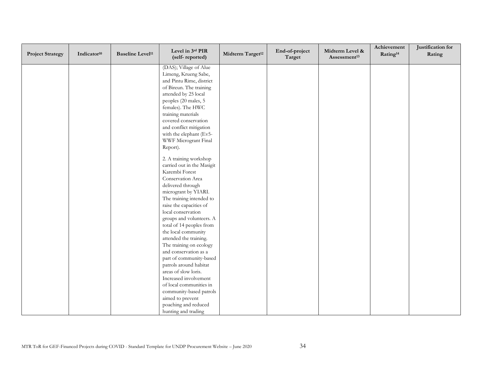| <b>Project Strategy</b> | Indicator <sup>10</sup> | <b>Baseline Level<sup>11</sup></b> | Level in 3rd PIR<br>(self-reported) | Midterm Target <sup>12</sup> | End-of-project<br>Target | Midterm Level &<br>Assessment <sup>13</sup> | Achievement<br>Rating <sup>14</sup> | Justification for<br>Rating |
|-------------------------|-------------------------|------------------------------------|-------------------------------------|------------------------------|--------------------------|---------------------------------------------|-------------------------------------|-----------------------------|
|                         |                         |                                    | (DAS); Village of Alue              |                              |                          |                                             |                                     |                             |
|                         |                         |                                    | Limeng, Krueng Sabe,                |                              |                          |                                             |                                     |                             |
|                         |                         |                                    | and Pintu Rime, district            |                              |                          |                                             |                                     |                             |
|                         |                         |                                    | of Bireun. The training             |                              |                          |                                             |                                     |                             |
|                         |                         |                                    | attended by 25 local                |                              |                          |                                             |                                     |                             |
|                         |                         |                                    | peoples (20 males, 5                |                              |                          |                                             |                                     |                             |
|                         |                         |                                    | females). The HWC                   |                              |                          |                                             |                                     |                             |
|                         |                         |                                    | training materials                  |                              |                          |                                             |                                     |                             |
|                         |                         |                                    | covered conservation                |                              |                          |                                             |                                     |                             |
|                         |                         |                                    | and conflict mitigation             |                              |                          |                                             |                                     |                             |
|                         |                         |                                    | with the elephant (Ev5-             |                              |                          |                                             |                                     |                             |
|                         |                         |                                    | WWF Microgrant Final                |                              |                          |                                             |                                     |                             |
|                         |                         |                                    | Report).                            |                              |                          |                                             |                                     |                             |
|                         |                         |                                    | 2. A training workshop              |                              |                          |                                             |                                     |                             |
|                         |                         |                                    | carried out in the Masigit          |                              |                          |                                             |                                     |                             |
|                         |                         |                                    | Karembi Forest                      |                              |                          |                                             |                                     |                             |
|                         |                         |                                    | Conservation Area                   |                              |                          |                                             |                                     |                             |
|                         |                         |                                    | delivered through                   |                              |                          |                                             |                                     |                             |
|                         |                         |                                    | microgrant by YIARI.                |                              |                          |                                             |                                     |                             |
|                         |                         |                                    | The training intended to            |                              |                          |                                             |                                     |                             |
|                         |                         |                                    | raise the capacities of             |                              |                          |                                             |                                     |                             |
|                         |                         |                                    | local conservation                  |                              |                          |                                             |                                     |                             |
|                         |                         |                                    | groups and volunteers. A            |                              |                          |                                             |                                     |                             |
|                         |                         |                                    | total of 14 peoples from            |                              |                          |                                             |                                     |                             |
|                         |                         |                                    | the local community                 |                              |                          |                                             |                                     |                             |
|                         |                         |                                    | attended the training.              |                              |                          |                                             |                                     |                             |
|                         |                         |                                    | The training on ecology             |                              |                          |                                             |                                     |                             |
|                         |                         |                                    | and conservation as a               |                              |                          |                                             |                                     |                             |
|                         |                         |                                    | part of community-based             |                              |                          |                                             |                                     |                             |
|                         |                         |                                    | patrols around habitat              |                              |                          |                                             |                                     |                             |
|                         |                         |                                    | areas of slow loris.                |                              |                          |                                             |                                     |                             |
|                         |                         |                                    | Increased involvement               |                              |                          |                                             |                                     |                             |
|                         |                         |                                    | of local communities in             |                              |                          |                                             |                                     |                             |
|                         |                         |                                    | community-based patrols             |                              |                          |                                             |                                     |                             |
|                         |                         |                                    | aimed to prevent                    |                              |                          |                                             |                                     |                             |
|                         |                         |                                    | poaching and reduced                |                              |                          |                                             |                                     |                             |
|                         |                         |                                    | hunting and trading                 |                              |                          |                                             |                                     |                             |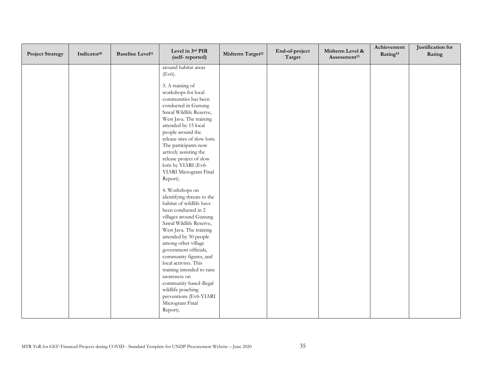| <b>Project Strategy</b> | Indicator <sup>10</sup> | <b>Baseline Level<sup>11</sup></b> | Level in 3rd PIR<br>(self-reported)                                                                                                                                                                                                                                                                                                                                                                                                                                                                                                                                                                                                                                                           | Midterm Target <sup>12</sup> | End-of-project<br>Target | Midterm Level &<br>Assessment <sup>13</sup> | Achievement<br>Rating <sup>14</sup> | Justification for<br>Rating |
|-------------------------|-------------------------|------------------------------------|-----------------------------------------------------------------------------------------------------------------------------------------------------------------------------------------------------------------------------------------------------------------------------------------------------------------------------------------------------------------------------------------------------------------------------------------------------------------------------------------------------------------------------------------------------------------------------------------------------------------------------------------------------------------------------------------------|------------------------------|--------------------------|---------------------------------------------|-------------------------------------|-----------------------------|
|                         |                         |                                    | around habitat areas<br>(Ev6).<br>3. A training of<br>workshops for local<br>communities has been<br>conducted in Gunung<br>Sawal Wildlife Reserve,<br>West Java. The training<br>attended by 15 local<br>people around the<br>release sites of slow loris.<br>The participants now<br>actively assisting the<br>release project of slow<br>loris by YIARI (Ev6-<br>YIARI Microgrant Final<br>Report).<br>4. Workshops on<br>identifying threats to the<br>habitat of wildlife have<br>been conducted in 2<br>villages around Gunung<br>Sawal Wildlife Reserve,<br>West Java. The training<br>attended by 50 people<br>among other village<br>government officials,<br>community figures, and |                              |                          |                                             |                                     |                             |
|                         |                         |                                    | local activists. This<br>training intended to raise<br>awareness on<br>community-based illegal<br>wildlife poaching<br>preventions (Ev6-YIARI<br>Microgrant Final<br>Report).                                                                                                                                                                                                                                                                                                                                                                                                                                                                                                                 |                              |                          |                                             |                                     |                             |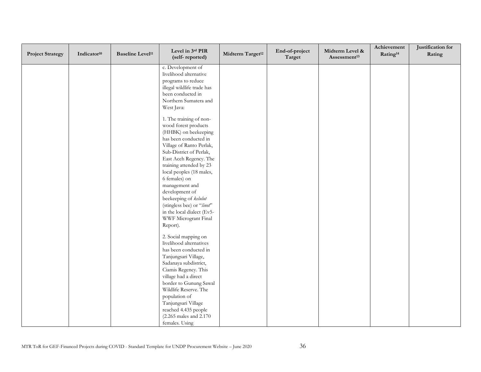| <b>Project Strategy</b> | Indicator <sup>10</sup> | <b>Baseline Level<sup>11</sup></b> | Level in 3rd PIR<br>(self-reported)            | Midterm Target <sup>12</sup> | End-of-project<br>Target | Midterm Level &<br>Assessment <sup>13</sup> | Achievement<br>Rating <sup>14</sup> | Justification for<br>Rating |
|-------------------------|-------------------------|------------------------------------|------------------------------------------------|------------------------------|--------------------------|---------------------------------------------|-------------------------------------|-----------------------------|
|                         |                         |                                    | c. Development of                              |                              |                          |                                             |                                     |                             |
|                         |                         |                                    | livelihood alternative                         |                              |                          |                                             |                                     |                             |
|                         |                         |                                    | programs to reduce                             |                              |                          |                                             |                                     |                             |
|                         |                         |                                    | illegal wildlife trade has                     |                              |                          |                                             |                                     |                             |
|                         |                         |                                    | been conducted in                              |                              |                          |                                             |                                     |                             |
|                         |                         |                                    | Northern Sumatera and                          |                              |                          |                                             |                                     |                             |
|                         |                         |                                    | West Java:                                     |                              |                          |                                             |                                     |                             |
|                         |                         |                                    | 1. The training of non-                        |                              |                          |                                             |                                     |                             |
|                         |                         |                                    | wood forest products                           |                              |                          |                                             |                                     |                             |
|                         |                         |                                    | (HHBK) on beekeeping<br>has been conducted in  |                              |                          |                                             |                                     |                             |
|                         |                         |                                    | Village of Ranto Perlak,                       |                              |                          |                                             |                                     |                             |
|                         |                         |                                    | Sub-District of Perlak,                        |                              |                          |                                             |                                     |                             |
|                         |                         |                                    | East Aceh Regency. The                         |                              |                          |                                             |                                     |                             |
|                         |                         |                                    | training attended by 23                        |                              |                          |                                             |                                     |                             |
|                         |                         |                                    | local peoples (18 males,                       |                              |                          |                                             |                                     |                             |
|                         |                         |                                    | 6 females) on                                  |                              |                          |                                             |                                     |                             |
|                         |                         |                                    | management and                                 |                              |                          |                                             |                                     |                             |
|                         |                         |                                    | development of                                 |                              |                          |                                             |                                     |                             |
|                         |                         |                                    | beekeeping of kelulut                          |                              |                          |                                             |                                     |                             |
|                         |                         |                                    | (stingless bee) or "linot"                     |                              |                          |                                             |                                     |                             |
|                         |                         |                                    | in the local dialect (Ev5-                     |                              |                          |                                             |                                     |                             |
|                         |                         |                                    | WWF Microgrant Final                           |                              |                          |                                             |                                     |                             |
|                         |                         |                                    | Report).                                       |                              |                          |                                             |                                     |                             |
|                         |                         |                                    | 2. Social mapping on                           |                              |                          |                                             |                                     |                             |
|                         |                         |                                    | livelihood alternatives                        |                              |                          |                                             |                                     |                             |
|                         |                         |                                    | has been conducted in                          |                              |                          |                                             |                                     |                             |
|                         |                         |                                    | Tanjungsari Village,                           |                              |                          |                                             |                                     |                             |
|                         |                         |                                    | Sadanaya subdistrict,                          |                              |                          |                                             |                                     |                             |
|                         |                         |                                    | Ciamis Regency. This                           |                              |                          |                                             |                                     |                             |
|                         |                         |                                    | village had a direct<br>border to Gunung Sawal |                              |                          |                                             |                                     |                             |
|                         |                         |                                    | Wildlife Reserve. The                          |                              |                          |                                             |                                     |                             |
|                         |                         |                                    | population of                                  |                              |                          |                                             |                                     |                             |
|                         |                         |                                    | Tanjungsari Village                            |                              |                          |                                             |                                     |                             |
|                         |                         |                                    | reached 4.435 people                           |                              |                          |                                             |                                     |                             |
|                         |                         |                                    | (2.265 males and 2.170)                        |                              |                          |                                             |                                     |                             |
|                         |                         |                                    | females. Using                                 |                              |                          |                                             |                                     |                             |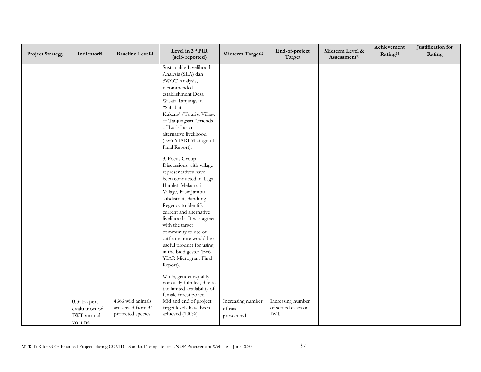| <b>Project Strategy</b> | Indicator <sup>10</sup> | <b>Baseline Level<sup>11</sup></b>      | Level in 3rd PIR<br>(self-reported)              | Midterm Target <sup>12</sup> | End-of-project<br>Target                 | Midterm Level &<br>Assessment <sup>13</sup> | Achievement<br>Rating <sup>14</sup> | Justification for<br>Rating |
|-------------------------|-------------------------|-----------------------------------------|--------------------------------------------------|------------------------------|------------------------------------------|---------------------------------------------|-------------------------------------|-----------------------------|
|                         |                         |                                         | Sustainable Livelihood                           |                              |                                          |                                             |                                     |                             |
|                         |                         |                                         | Analysis (SLA) dan                               |                              |                                          |                                             |                                     |                             |
|                         |                         |                                         | SWOT Analysis,                                   |                              |                                          |                                             |                                     |                             |
|                         |                         |                                         | recommended                                      |                              |                                          |                                             |                                     |                             |
|                         |                         |                                         | establishment Desa<br>Wisata Tanjungsari         |                              |                                          |                                             |                                     |                             |
|                         |                         |                                         | "Sahabat                                         |                              |                                          |                                             |                                     |                             |
|                         |                         |                                         | Kukang"/Tourist Village                          |                              |                                          |                                             |                                     |                             |
|                         |                         |                                         | of Tanjungsari "Friends                          |                              |                                          |                                             |                                     |                             |
|                         |                         |                                         | of Loris" as an                                  |                              |                                          |                                             |                                     |                             |
|                         |                         |                                         | alternative livelihood                           |                              |                                          |                                             |                                     |                             |
|                         |                         |                                         | (Ev6-YIARI Microgrant                            |                              |                                          |                                             |                                     |                             |
|                         |                         |                                         | Final Report).                                   |                              |                                          |                                             |                                     |                             |
|                         |                         |                                         |                                                  |                              |                                          |                                             |                                     |                             |
|                         |                         |                                         | 3. Focus Group                                   |                              |                                          |                                             |                                     |                             |
|                         |                         |                                         | Discussions with village<br>representatives have |                              |                                          |                                             |                                     |                             |
|                         |                         |                                         | been conducted in Tegal                          |                              |                                          |                                             |                                     |                             |
|                         |                         |                                         | Hamlet, Mekarsari                                |                              |                                          |                                             |                                     |                             |
|                         |                         |                                         | Village, Pasir Jambu                             |                              |                                          |                                             |                                     |                             |
|                         |                         |                                         | subdistrict, Bandung                             |                              |                                          |                                             |                                     |                             |
|                         |                         |                                         | Regency to identify                              |                              |                                          |                                             |                                     |                             |
|                         |                         |                                         | current and alternative                          |                              |                                          |                                             |                                     |                             |
|                         |                         |                                         | livelihoods. It was agreed                       |                              |                                          |                                             |                                     |                             |
|                         |                         |                                         | with the target                                  |                              |                                          |                                             |                                     |                             |
|                         |                         |                                         | community to use of                              |                              |                                          |                                             |                                     |                             |
|                         |                         |                                         | cattle manure would be a                         |                              |                                          |                                             |                                     |                             |
|                         |                         |                                         | useful product for using                         |                              |                                          |                                             |                                     |                             |
|                         |                         |                                         | in the biodigester (Ev6-                         |                              |                                          |                                             |                                     |                             |
|                         |                         |                                         | YIAR Microgrant Final                            |                              |                                          |                                             |                                     |                             |
|                         |                         |                                         | Report).                                         |                              |                                          |                                             |                                     |                             |
|                         |                         |                                         | While, gender equality                           |                              |                                          |                                             |                                     |                             |
|                         |                         |                                         | not easily fulfilled, due to                     |                              |                                          |                                             |                                     |                             |
|                         |                         |                                         | the limited availability of                      |                              |                                          |                                             |                                     |                             |
|                         |                         |                                         | female forest police.                            |                              |                                          |                                             |                                     |                             |
|                         | 0.3: Expert             | 4666 wild animals<br>are seized from 34 | Mid and end of project                           | Increasing number            | Increasing number<br>of settled cases on |                                             |                                     |                             |
|                         | evaluation of           | protected species                       | target levels have been<br>achieved (100%).      | of cases                     | <b>IWT</b>                               |                                             |                                     |                             |
|                         | IWT annual              |                                         |                                                  | prosecuted                   |                                          |                                             |                                     |                             |
|                         | volume                  |                                         |                                                  |                              |                                          |                                             |                                     |                             |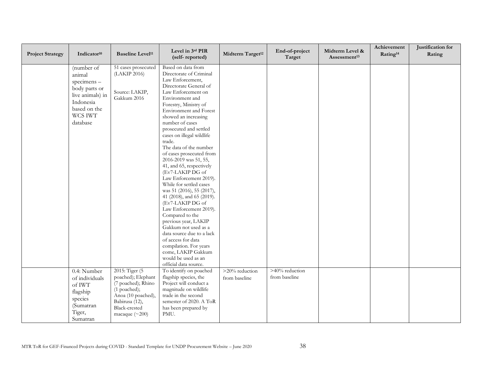| <b>Project Strategy</b> | Indicator <sup>10</sup>                                                                                                     | <b>Baseline Level<sup>11</sup></b>                                                                                                                           | Level in 3rd PIR<br>(self-reported)                                                                                                                                                                                                                                                                                                                                                                                                                                                                                                                                                                                                                                                                                                                                                          | Midterm Target <sup>12</sup>    | End-of-project<br>Target        | Midterm Level &<br>Assessment <sup>13</sup> | Achievement<br>Rating <sup>14</sup> | Justification for<br>Rating |
|-------------------------|-----------------------------------------------------------------------------------------------------------------------------|--------------------------------------------------------------------------------------------------------------------------------------------------------------|----------------------------------------------------------------------------------------------------------------------------------------------------------------------------------------------------------------------------------------------------------------------------------------------------------------------------------------------------------------------------------------------------------------------------------------------------------------------------------------------------------------------------------------------------------------------------------------------------------------------------------------------------------------------------------------------------------------------------------------------------------------------------------------------|---------------------------------|---------------------------------|---------------------------------------------|-------------------------------------|-----------------------------|
|                         | (number of<br>animal<br>specimens-<br>body parts or<br>live animals) in<br>Indonesia<br>based on the<br>WCS IWT<br>database | 51 cases prosecuted<br>(LAKIP 2016)<br>Source: LAKIP,<br>Gakkum 2016                                                                                         | Based on data from<br>Directorate of Criminal<br>Law Enforcement,<br>Directorate General of<br>Law Enforcement on<br>Environment and<br>Forestry, Ministry of<br>Environment and Forest<br>showed an increasing<br>number of cases<br>prosecuted and settled<br>cases on illegal wildlife<br>trade.<br>The data of the number<br>of cases prosecuted from<br>2016-2019 was 51, 55,<br>41, and 65, respectively<br>(Ev7-LAKIP DG of<br>Law Enforcement 2019).<br>While for settled cases<br>was 51 (2016), 55 (2017),<br>41 (2018), and 65 (2019).<br>(Ev7-LAKIP DG of<br>Law Enforcement 2019).<br>Compared to the<br>previous year, LAKIP<br>Gakkum not used as a<br>data source due to a lack<br>of access for data<br>compilation. For years<br>come, LAKIP Gakkum<br>would be used as an |                                 |                                 |                                             |                                     |                             |
|                         |                                                                                                                             |                                                                                                                                                              | official data source.                                                                                                                                                                                                                                                                                                                                                                                                                                                                                                                                                                                                                                                                                                                                                                        |                                 |                                 |                                             |                                     |                             |
|                         | 0.4: Number<br>of individuals<br>of IWT<br>flagship<br>species<br>(Sumatran<br>Tiger,<br>Sumatran                           | 2015: Tiger (5)<br>poached); Elephant<br>(7 poached); Rhino<br>(1 poached);<br>Anoa (10 poached),<br>Babirusa (12),<br>Black-crested<br>macaque $(\sim 200)$ | To identify on poached<br>flagship species, the<br>Project will conduct a<br>magnitude on wildlife<br>trade in the second<br>semester of 2020. A ToR<br>has been prepared by<br>PMU.                                                                                                                                                                                                                                                                                                                                                                                                                                                                                                                                                                                                         | >20% reduction<br>from baseline | >40% reduction<br>from baseline |                                             |                                     |                             |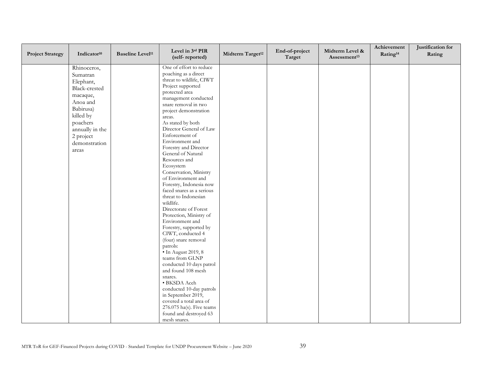| <b>Project Strategy</b> | Indicator <sup>10</sup> | <b>Baseline Level<sup>11</sup></b> | Level in 3rd PIR<br>(self-reported)          | Midterm Target <sup>12</sup> | End-of-project<br>Target | Midterm Level &<br>Assessment <sup>13</sup> | Achievement<br>Rating <sup>14</sup> | Justification for<br>Rating |
|-------------------------|-------------------------|------------------------------------|----------------------------------------------|------------------------------|--------------------------|---------------------------------------------|-------------------------------------|-----------------------------|
|                         | Rhinoceros,             |                                    | One of effort to reduce                      |                              |                          |                                             |                                     |                             |
|                         | Sumatran                |                                    | poaching as a direct                         |                              |                          |                                             |                                     |                             |
|                         | Elephant,               |                                    | threat to wildlife, CIWT                     |                              |                          |                                             |                                     |                             |
|                         | Black-crested           |                                    | Project supported                            |                              |                          |                                             |                                     |                             |
|                         | macaque,                |                                    | protected area                               |                              |                          |                                             |                                     |                             |
|                         | Anoa and                |                                    | management conducted<br>snare removal in two |                              |                          |                                             |                                     |                             |
|                         | Babirusa)               |                                    | project demonstration                        |                              |                          |                                             |                                     |                             |
|                         | killed by               |                                    | areas.                                       |                              |                          |                                             |                                     |                             |
|                         | poachers                |                                    | As stated by both                            |                              |                          |                                             |                                     |                             |
|                         | annually in the         |                                    | Director General of Law                      |                              |                          |                                             |                                     |                             |
|                         | 2 project               |                                    | Enforcement of                               |                              |                          |                                             |                                     |                             |
|                         | demonstration           |                                    | Environment and                              |                              |                          |                                             |                                     |                             |
|                         | areas                   |                                    | Forestry and Director                        |                              |                          |                                             |                                     |                             |
|                         |                         |                                    | General of Natural                           |                              |                          |                                             |                                     |                             |
|                         |                         |                                    | Resources and                                |                              |                          |                                             |                                     |                             |
|                         |                         |                                    | Ecosystem                                    |                              |                          |                                             |                                     |                             |
|                         |                         |                                    | Conservation, Ministry                       |                              |                          |                                             |                                     |                             |
|                         |                         |                                    | of Environment and                           |                              |                          |                                             |                                     |                             |
|                         |                         |                                    | Forestry, Indonesia now                      |                              |                          |                                             |                                     |                             |
|                         |                         |                                    | faced snares as a serious                    |                              |                          |                                             |                                     |                             |
|                         |                         |                                    | threat to Indonesian                         |                              |                          |                                             |                                     |                             |
|                         |                         |                                    | wildlife.<br>Directorate of Forest           |                              |                          |                                             |                                     |                             |
|                         |                         |                                    | Protection, Ministry of                      |                              |                          |                                             |                                     |                             |
|                         |                         |                                    | Environment and                              |                              |                          |                                             |                                     |                             |
|                         |                         |                                    | Forestry, supported by                       |                              |                          |                                             |                                     |                             |
|                         |                         |                                    | CIWT, conducted 4                            |                              |                          |                                             |                                     |                             |
|                         |                         |                                    | (four) snare removal                         |                              |                          |                                             |                                     |                             |
|                         |                         |                                    | patrols:                                     |                              |                          |                                             |                                     |                             |
|                         |                         |                                    | $\bullet$ In August 2019, 8                  |                              |                          |                                             |                                     |                             |
|                         |                         |                                    | teams from GLNP                              |                              |                          |                                             |                                     |                             |
|                         |                         |                                    | conducted 10 days patrol                     |                              |                          |                                             |                                     |                             |
|                         |                         |                                    | and found 108 mesh                           |                              |                          |                                             |                                     |                             |
|                         |                         |                                    | snares.                                      |                              |                          |                                             |                                     |                             |
|                         |                         |                                    | • BKSDA Aceh                                 |                              |                          |                                             |                                     |                             |
|                         |                         |                                    | conducted 10-day patrols                     |                              |                          |                                             |                                     |                             |
|                         |                         |                                    | in September 2019,                           |                              |                          |                                             |                                     |                             |
|                         |                         |                                    | covered a total area of                      |                              |                          |                                             |                                     |                             |
|                         |                         |                                    | 276.075 ha(s). Five teams                    |                              |                          |                                             |                                     |                             |
|                         |                         |                                    | found and destroyed 63                       |                              |                          |                                             |                                     |                             |
|                         |                         |                                    | mesh snares.                                 |                              |                          |                                             |                                     |                             |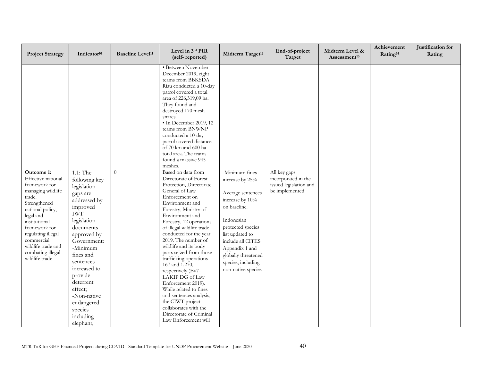| <b>Project Strategy</b>                                                                                                                                                                                                                                              | Indicator <sup>10</sup>                                                                                                                                                                                                                                                                                             | <b>Baseline Level<sup>11</sup></b> | Level in 3rd PIR<br>(self-reported)                                                                                                                                                                                                                                                                                                                                                                                                                                                                                                                                                                    | Midterm Target <sup>12</sup>                                                                                                                                                                                                                              | End-of-project<br>Target                                                        | Midterm Level &<br>Assessment <sup>13</sup> | Achievement<br>Rating <sup>14</sup> | Justification for<br>Rating |
|----------------------------------------------------------------------------------------------------------------------------------------------------------------------------------------------------------------------------------------------------------------------|---------------------------------------------------------------------------------------------------------------------------------------------------------------------------------------------------------------------------------------------------------------------------------------------------------------------|------------------------------------|--------------------------------------------------------------------------------------------------------------------------------------------------------------------------------------------------------------------------------------------------------------------------------------------------------------------------------------------------------------------------------------------------------------------------------------------------------------------------------------------------------------------------------------------------------------------------------------------------------|-----------------------------------------------------------------------------------------------------------------------------------------------------------------------------------------------------------------------------------------------------------|---------------------------------------------------------------------------------|---------------------------------------------|-------------------------------------|-----------------------------|
|                                                                                                                                                                                                                                                                      |                                                                                                                                                                                                                                                                                                                     |                                    | · Between November-<br>December 2019, eight<br>teams from BBKSDA<br>Riau conducted a 10-day<br>patrol covered a total<br>area of 226,319,09 ha.<br>They found and<br>destroyed 170 mesh<br>snares.<br>· In December 2019, 12<br>teams from BNWNP<br>conducted a 10-day<br>patrol covered distance<br>of 70 km and 600 ha<br>total area. The teams<br>found a massive 945<br>meshes.                                                                                                                                                                                                                    |                                                                                                                                                                                                                                                           |                                                                                 |                                             |                                     |                             |
| Outcome 1:<br>Effective national<br>framework for<br>managing wildlife<br>trade.<br>Strengthened<br>national policy,<br>legal and<br>institutional<br>framework for<br>regulating illegal<br>commercial<br>wildlife trade and<br>combating illegal<br>wildlife trade | 1.1: The<br>following key<br>legislation<br>gaps are<br>addressed by<br>improved<br><b>IWT</b><br>legislation<br>documents<br>approved by<br>Government:<br>-Minimum<br>fines and<br>sentences<br>increased to<br>provide<br>deterrent<br>effect;<br>-Non-native<br>endangered<br>species<br>including<br>elephant, | $\overline{0}$                     | Based on data from<br>Directorate of Forest<br>Protection, Directorate<br>General of Law<br>Enforcement on<br>Environment and<br>Forestry, Ministry of<br>Environment and<br>Forestry, 12 operations<br>of illegal wildlife trade<br>conducted for the year<br>2019. The number of<br>wildlife and its body<br>parts seized from those<br>trafficking operations<br>167 and 1.270,<br>respectively (Ev7-<br>LAKIP DG of Law<br>Enforcement 2019).<br>While related to fines<br>and sentences analysis,<br>the CIWT project<br>collaborates with the<br>Directorate of Criminal<br>Law Enforcement will | -Minimum fines<br>increase by 25%<br>Average sentences<br>increase by 10%<br>on baseline.<br>Indonesian<br>protected species<br>list updated to<br>include all CITES<br>Appendix 1 and<br>globally threatened<br>species, including<br>non-native species | All key gaps<br>incorporated in the<br>issued legislation and<br>be implemented |                                             |                                     |                             |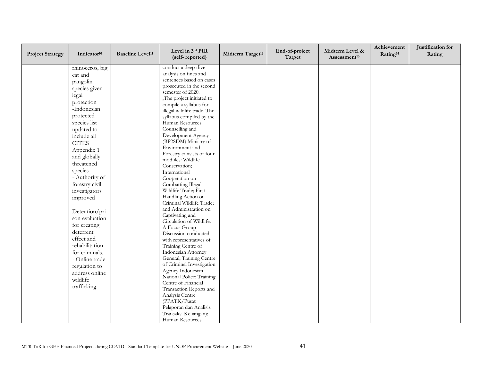| <b>Project Strategy</b> | Indicator <sup>10</sup>    | <b>Baseline Level<sup>11</sup></b> | Level in 3rd PIR<br>(self-reported)            | Midterm Target <sup>12</sup> | End-of-project<br>Target | Midterm Level &<br>Assessment <sup>13</sup> | Achievement<br>Rating <sup>14</sup> | Justification for<br>Rating |
|-------------------------|----------------------------|------------------------------------|------------------------------------------------|------------------------------|--------------------------|---------------------------------------------|-------------------------------------|-----------------------------|
|                         | rhinoceros, big<br>cat and |                                    | conduct a deep-dive<br>analysis on fines and   |                              |                          |                                             |                                     |                             |
|                         | pangolin                   |                                    | sentences based on cases                       |                              |                          |                                             |                                     |                             |
|                         | species given              |                                    | prosecuted in the second                       |                              |                          |                                             |                                     |                             |
|                         | legal                      |                                    | semester of 2020.                              |                              |                          |                                             |                                     |                             |
|                         |                            |                                    | The project initiated to                       |                              |                          |                                             |                                     |                             |
|                         | protection                 |                                    | compile a syllabus for                         |                              |                          |                                             |                                     |                             |
|                         | -Indonesian                |                                    | illegal wildlife trade. The                    |                              |                          |                                             |                                     |                             |
|                         | protected                  |                                    | syllabus compiled by the                       |                              |                          |                                             |                                     |                             |
|                         | species list               |                                    | Human Resources                                |                              |                          |                                             |                                     |                             |
|                         | updated to                 |                                    | Counselling and<br>Development Agency          |                              |                          |                                             |                                     |                             |
|                         | include all                |                                    | (BP2SDM) Ministry of                           |                              |                          |                                             |                                     |                             |
|                         | <b>CITES</b>               |                                    | Environment and                                |                              |                          |                                             |                                     |                             |
|                         | Appendix 1                 |                                    | Forestry consists of four                      |                              |                          |                                             |                                     |                             |
|                         | and globally               |                                    | modules: Wildlife                              |                              |                          |                                             |                                     |                             |
|                         | threatened                 |                                    | Conservation;                                  |                              |                          |                                             |                                     |                             |
|                         | species                    |                                    | International                                  |                              |                          |                                             |                                     |                             |
|                         | - Authority of             |                                    | Cooperation on                                 |                              |                          |                                             |                                     |                             |
|                         | forestry civil             |                                    | Combatting Illegal                             |                              |                          |                                             |                                     |                             |
|                         | investigators              |                                    | Wildlife Trade; First                          |                              |                          |                                             |                                     |                             |
|                         | improved                   |                                    | Handling Action on                             |                              |                          |                                             |                                     |                             |
|                         |                            |                                    | Criminal Wildlife Trade;                       |                              |                          |                                             |                                     |                             |
|                         | Detention/pri              |                                    | and Administration on                          |                              |                          |                                             |                                     |                             |
|                         | son evaluation             |                                    | Captivating and<br>Circulation of Wildlife.    |                              |                          |                                             |                                     |                             |
|                         | for creating               |                                    | A Focus Group                                  |                              |                          |                                             |                                     |                             |
|                         | deterrent                  |                                    | Discussion conducted                           |                              |                          |                                             |                                     |                             |
|                         | effect and                 |                                    | with representatives of                        |                              |                          |                                             |                                     |                             |
|                         | rehabilitation             |                                    | Training Centre of                             |                              |                          |                                             |                                     |                             |
|                         | for criminals.             |                                    | Indonesian Attorney                            |                              |                          |                                             |                                     |                             |
|                         | - Online trade             |                                    | General, Training Centre                       |                              |                          |                                             |                                     |                             |
|                         | regulation to              |                                    | of Criminal Investigation                      |                              |                          |                                             |                                     |                             |
|                         | address online             |                                    | Agency Indonesian                              |                              |                          |                                             |                                     |                             |
|                         | wildlife                   |                                    | National Police; Training                      |                              |                          |                                             |                                     |                             |
|                         | trafficking.               |                                    | Centre of Financial                            |                              |                          |                                             |                                     |                             |
|                         |                            |                                    | Transaction Reports and                        |                              |                          |                                             |                                     |                             |
|                         |                            |                                    | Analysis Centre                                |                              |                          |                                             |                                     |                             |
|                         |                            |                                    | (PPATK/Pusat                                   |                              |                          |                                             |                                     |                             |
|                         |                            |                                    | Pelaporan dan Analisis<br>Transaksi Keuangan); |                              |                          |                                             |                                     |                             |
|                         |                            |                                    | Human Resources                                |                              |                          |                                             |                                     |                             |
|                         |                            |                                    |                                                |                              |                          |                                             |                                     |                             |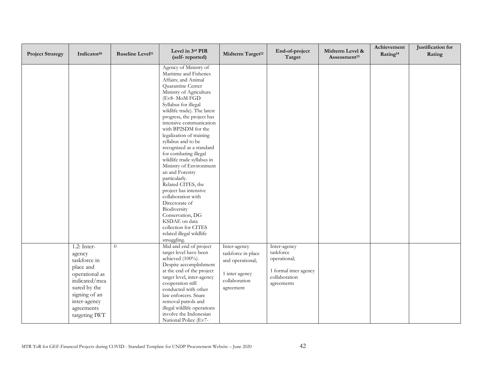| <b>Project Strategy</b> | Indicator <sup>10</sup>                                                                                                                                                 | <b>Baseline Level<sup>11</sup></b> | Level in 3rd PIR<br>(self-reported)                                                                                                                                                                                                                                                                                                                                                                                                                                                                                                                                                                                                                                                             | Midterm Target <sup>12</sup>                                                                           | End-of-project<br>Target                                                                          | Midterm Level &<br>Assessment <sup>13</sup> | Achievement<br>Rating <sup>14</sup> | Justification for<br>Rating |
|-------------------------|-------------------------------------------------------------------------------------------------------------------------------------------------------------------------|------------------------------------|-------------------------------------------------------------------------------------------------------------------------------------------------------------------------------------------------------------------------------------------------------------------------------------------------------------------------------------------------------------------------------------------------------------------------------------------------------------------------------------------------------------------------------------------------------------------------------------------------------------------------------------------------------------------------------------------------|--------------------------------------------------------------------------------------------------------|---------------------------------------------------------------------------------------------------|---------------------------------------------|-------------------------------------|-----------------------------|
|                         |                                                                                                                                                                         |                                    | Agency of Ministry of<br>Maritime and Fisheries<br>Affairs; and Animal<br>Quarantine Center<br>Ministry of Agriculture<br>(Ev8- MoM FGD<br>Syllabus for illegal<br>wildlife trade). The latest<br>progress, the project has<br>intensive communication<br>with BP2SDM for the<br>legalization of training<br>syllabus and to be<br>recognized as a standard<br>for combating illegal<br>wildlife trade syllabus in<br>Ministry of Environment<br>an and Forestry<br>particularly.<br>Related CITES, the<br>project has intensive<br>collaboration with<br>Directorate of<br>Biodiversity<br>Conservation, DG<br>KSDAE on data<br>collection for CITES<br>related illegal wildlife<br>smuggling. |                                                                                                        |                                                                                                   |                                             |                                     |                             |
|                         | $1.2:$ Inter-<br>agency<br>taskforce in<br>place and<br>operational as<br>indicated/mea<br>sured by the<br>signing of an<br>inter-agency<br>agreements<br>targeting IWT | $\overline{0}$                     | Mid and end of project<br>target level have been<br>achieved (100%).<br>Despite accomplishment<br>at the end of the project<br>target level, inter-agency<br>cooperation still<br>conducted with other<br>law enforcers. Snare<br>removal patrols and<br>illegal wildlife operations<br>involve the Indonesian<br>National Police (Ev7-                                                                                                                                                                                                                                                                                                                                                         | Inter-agency<br>taskforce in place<br>and operational;<br>1 inter agency<br>collaboration<br>agreement | Inter-agency<br>taskforce<br>operational;<br>1 formal inter agency<br>collaboration<br>agreements |                                             |                                     |                             |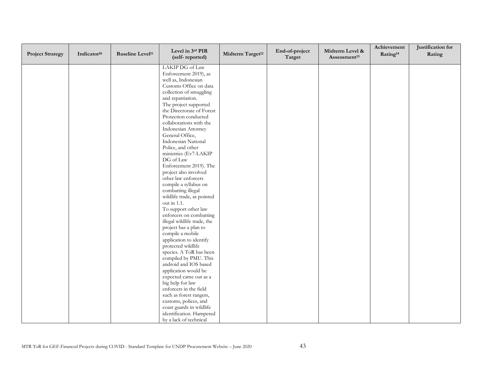| <b>Project Strategy</b> | Indicator <sup>10</sup> | <b>Baseline Level<sup>11</sup></b> | Level in 3rd PIR<br>(self-reported)          | Midterm Target <sup>12</sup> | End-of-project<br>Target | Midterm Level &<br>Assessment <sup>13</sup> | Achievement<br>Rating <sup>14</sup> | Justification for<br>Rating |
|-------------------------|-------------------------|------------------------------------|----------------------------------------------|------------------------------|--------------------------|---------------------------------------------|-------------------------------------|-----------------------------|
|                         |                         |                                    | LAKIP DG of Law                              |                              |                          |                                             |                                     |                             |
|                         |                         |                                    | Enforcement 2019), as                        |                              |                          |                                             |                                     |                             |
|                         |                         |                                    | well as, Indonesian                          |                              |                          |                                             |                                     |                             |
|                         |                         |                                    | Customs Office on data                       |                              |                          |                                             |                                     |                             |
|                         |                         |                                    | collection of smuggling                      |                              |                          |                                             |                                     |                             |
|                         |                         |                                    | and repatriation.                            |                              |                          |                                             |                                     |                             |
|                         |                         |                                    | The project supported                        |                              |                          |                                             |                                     |                             |
|                         |                         |                                    | the Directorate of Forest                    |                              |                          |                                             |                                     |                             |
|                         |                         |                                    | Protection conducted                         |                              |                          |                                             |                                     |                             |
|                         |                         |                                    | collaborations with the                      |                              |                          |                                             |                                     |                             |
|                         |                         |                                    | Indonesian Attorney                          |                              |                          |                                             |                                     |                             |
|                         |                         |                                    | General Office,                              |                              |                          |                                             |                                     |                             |
|                         |                         |                                    | Indonesian National                          |                              |                          |                                             |                                     |                             |
|                         |                         |                                    | Police, and other                            |                              |                          |                                             |                                     |                             |
|                         |                         |                                    | ministries (Ev7-LAKIP                        |                              |                          |                                             |                                     |                             |
|                         |                         |                                    | DG of Law                                    |                              |                          |                                             |                                     |                             |
|                         |                         |                                    | Enforcement 2019). The                       |                              |                          |                                             |                                     |                             |
|                         |                         |                                    | project also involved                        |                              |                          |                                             |                                     |                             |
|                         |                         |                                    | other law enforcers<br>compile a syllabus on |                              |                          |                                             |                                     |                             |
|                         |                         |                                    | combatting illegal                           |                              |                          |                                             |                                     |                             |
|                         |                         |                                    | wildlife trade, as pointed                   |                              |                          |                                             |                                     |                             |
|                         |                         |                                    | out in 1.1.                                  |                              |                          |                                             |                                     |                             |
|                         |                         |                                    | To support other law                         |                              |                          |                                             |                                     |                             |
|                         |                         |                                    | enforcers on combatting                      |                              |                          |                                             |                                     |                             |
|                         |                         |                                    | illegal wildlife trade, the                  |                              |                          |                                             |                                     |                             |
|                         |                         |                                    | project has a plan to                        |                              |                          |                                             |                                     |                             |
|                         |                         |                                    | compile a mobile                             |                              |                          |                                             |                                     |                             |
|                         |                         |                                    | application to identify                      |                              |                          |                                             |                                     |                             |
|                         |                         |                                    | protected wildlife                           |                              |                          |                                             |                                     |                             |
|                         |                         |                                    | species. A ToR has been                      |                              |                          |                                             |                                     |                             |
|                         |                         |                                    | compiled by PMU. This                        |                              |                          |                                             |                                     |                             |
|                         |                         |                                    | android and IOS based                        |                              |                          |                                             |                                     |                             |
|                         |                         |                                    | application would be                         |                              |                          |                                             |                                     |                             |
|                         |                         |                                    | expected came out as a                       |                              |                          |                                             |                                     |                             |
|                         |                         |                                    | big help for law                             |                              |                          |                                             |                                     |                             |
|                         |                         |                                    | enforcers in the field                       |                              |                          |                                             |                                     |                             |
|                         |                         |                                    | such as forest rangers,                      |                              |                          |                                             |                                     |                             |
|                         |                         |                                    | customs, polices, and                        |                              |                          |                                             |                                     |                             |
|                         |                         |                                    | coast guards in wildlife                     |                              |                          |                                             |                                     |                             |
|                         |                         |                                    | identification. Hampered                     |                              |                          |                                             |                                     |                             |
|                         |                         |                                    | by a lack of technical                       |                              |                          |                                             |                                     |                             |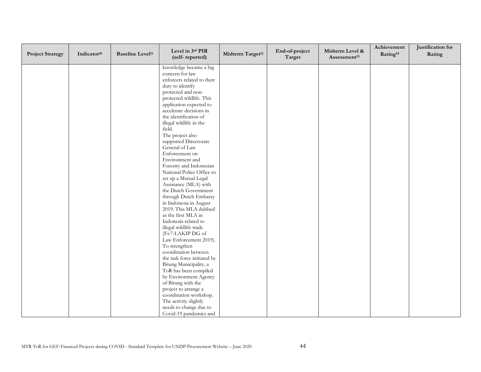| <b>Project Strategy</b> | Indicator <sup>10</sup> | <b>Baseline Level<sup>11</sup></b> | Level in 3rd PIR<br>(self-reported)                | Midterm Target <sup>12</sup> | End-of-project<br>Target | Midterm Level &<br>Assessment <sup>13</sup> | Achievement<br>Rating <sup>14</sup> | Justification for<br>Rating |
|-------------------------|-------------------------|------------------------------------|----------------------------------------------------|------------------------------|--------------------------|---------------------------------------------|-------------------------------------|-----------------------------|
|                         |                         |                                    | knowledge became a big                             |                              |                          |                                             |                                     |                             |
|                         |                         |                                    | concern for law                                    |                              |                          |                                             |                                     |                             |
|                         |                         |                                    | enforcers related to their                         |                              |                          |                                             |                                     |                             |
|                         |                         |                                    | duty to identify                                   |                              |                          |                                             |                                     |                             |
|                         |                         |                                    | protected and non-                                 |                              |                          |                                             |                                     |                             |
|                         |                         |                                    | protected wildlife. This                           |                              |                          |                                             |                                     |                             |
|                         |                         |                                    | application expected to<br>accelerate decisions in |                              |                          |                                             |                                     |                             |
|                         |                         |                                    | the identification of                              |                              |                          |                                             |                                     |                             |
|                         |                         |                                    | illegal wildlife in the                            |                              |                          |                                             |                                     |                             |
|                         |                         |                                    | field.                                             |                              |                          |                                             |                                     |                             |
|                         |                         |                                    | The project also                                   |                              |                          |                                             |                                     |                             |
|                         |                         |                                    | supported Directorate                              |                              |                          |                                             |                                     |                             |
|                         |                         |                                    | General of Law                                     |                              |                          |                                             |                                     |                             |
|                         |                         |                                    | Enforcement on                                     |                              |                          |                                             |                                     |                             |
|                         |                         |                                    | Environment and                                    |                              |                          |                                             |                                     |                             |
|                         |                         |                                    | Forestry and Indonesian                            |                              |                          |                                             |                                     |                             |
|                         |                         |                                    | National Police Office to                          |                              |                          |                                             |                                     |                             |
|                         |                         |                                    | set up a Mutual Legal                              |                              |                          |                                             |                                     |                             |
|                         |                         |                                    | Assistance (MLA) with                              |                              |                          |                                             |                                     |                             |
|                         |                         |                                    | the Dutch Government                               |                              |                          |                                             |                                     |                             |
|                         |                         |                                    | through Dutch Embassy                              |                              |                          |                                             |                                     |                             |
|                         |                         |                                    | in Indonesia in August<br>2019. This MLA dubbed    |                              |                          |                                             |                                     |                             |
|                         |                         |                                    | as the first MLA in                                |                              |                          |                                             |                                     |                             |
|                         |                         |                                    | Indonesia related to                               |                              |                          |                                             |                                     |                             |
|                         |                         |                                    | illegal wildlife trade                             |                              |                          |                                             |                                     |                             |
|                         |                         |                                    | (Ev7-LAKIP DG of                                   |                              |                          |                                             |                                     |                             |
|                         |                         |                                    | Law Enforcement 2019).                             |                              |                          |                                             |                                     |                             |
|                         |                         |                                    | To strengthen                                      |                              |                          |                                             |                                     |                             |
|                         |                         |                                    | coordination between                               |                              |                          |                                             |                                     |                             |
|                         |                         |                                    | the task force initiated by                        |                              |                          |                                             |                                     |                             |
|                         |                         |                                    | Bitung Municipality, a                             |                              |                          |                                             |                                     |                             |
|                         |                         |                                    | ToR has been compiled                              |                              |                          |                                             |                                     |                             |
|                         |                         |                                    | by Environment Agency                              |                              |                          |                                             |                                     |                             |
|                         |                         |                                    | of Bitung with the                                 |                              |                          |                                             |                                     |                             |
|                         |                         |                                    | project to arrange a<br>coordination workshop.     |                              |                          |                                             |                                     |                             |
|                         |                         |                                    | The activity slightly                              |                              |                          |                                             |                                     |                             |
|                         |                         |                                    | needs to change due to                             |                              |                          |                                             |                                     |                             |
|                         |                         |                                    | Covid-19 pandemics and                             |                              |                          |                                             |                                     |                             |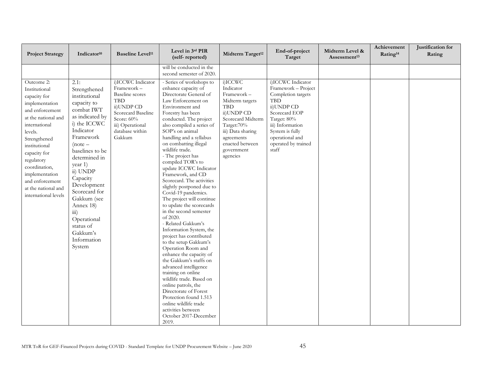| <b>Project Strategy</b>                                                                                                                                                                                                                                                                                 | Indicator <sup>10</sup>                                                                                                                                                                                                                                                                                              | <b>Baseline Level<sup>11</sup></b>                                                                                                                                         | Level in $3rd$ PIR<br>(self-reported)                                                                                                                                                                                                                                                                                                                                                                                                                                                                                                                                                                                     | Midterm Target <sup>12</sup>                                                                                                                                                                         | End-of-project<br>Target                                                                                                                                                                                      | Midterm Level &<br>Assessment <sup>13</sup> | Achievement<br>Rating <sup>14</sup> | Justification for<br>Rating |
|---------------------------------------------------------------------------------------------------------------------------------------------------------------------------------------------------------------------------------------------------------------------------------------------------------|----------------------------------------------------------------------------------------------------------------------------------------------------------------------------------------------------------------------------------------------------------------------------------------------------------------------|----------------------------------------------------------------------------------------------------------------------------------------------------------------------------|---------------------------------------------------------------------------------------------------------------------------------------------------------------------------------------------------------------------------------------------------------------------------------------------------------------------------------------------------------------------------------------------------------------------------------------------------------------------------------------------------------------------------------------------------------------------------------------------------------------------------|------------------------------------------------------------------------------------------------------------------------------------------------------------------------------------------------------|---------------------------------------------------------------------------------------------------------------------------------------------------------------------------------------------------------------|---------------------------------------------|-------------------------------------|-----------------------------|
| Outcome 2:<br>Institutional<br>capacity for<br>implementation<br>and enforcement<br>at the national and<br>international<br>levels.<br>Strengthened<br>institutional<br>capacity for<br>regulatory<br>coordination,<br>implementation<br>and enforcement<br>at the national and<br>international levels | 2.1:<br>Strengthened<br>institutional<br>capacity to<br>combat IWT<br>as indicated by<br>i) the ICCWC<br>Indicator<br>Framework<br>$(note -$<br>baselines to be<br>determined in<br>year 1)<br>ii) UNDP<br>Capacity<br>Development<br>Scorecard for<br>Gakkum (see<br>Annex 18)<br>$\overline{iii}$ )<br>Operational | i)ICCWC Indicator<br>Framework-<br><b>Baseline</b> scores<br><b>TBD</b><br>ii)UNDP CD<br>Scorecard Baseline<br>Score: 60%<br>iii) Operational<br>database within<br>Gakkum | will be conducted in the<br>second semester of 2020.<br>- Series of workshops to<br>enhance capacity of<br>Directorate General of<br>Law Enforcement on<br>Environment and<br>Forestry has been<br>conducted. The project<br>also compiled a series of<br>SOP's on animal<br>handling and a syllabus<br>on combatting illegal<br>wildlife trade.<br>- The project has<br>compiled TOR's to<br>update ICCWC Indicator<br>Framework, and CD<br>Scorecard. The activities<br>slightly postponed due to<br>Covid-19 pandemics.<br>The project will continue<br>to update the scorecards<br>in the second semester<br>of 2020. | i)ICCWC<br>Indicator<br>Framework-<br>Midterm targets<br><b>TBD</b><br>ii)UNDP CD<br>Scorecard Midterm<br>Target:70%<br>iii) Data sharing<br>agreements<br>enacted between<br>government<br>agencies | i)ICCWC Indicator<br>Framework - Project<br>Completion targets<br>TBD<br>ii)UNDP CD<br>Scorecard EOP<br>Target: 80%<br>iii) Information<br>System is fully<br>operational and<br>operated by trained<br>staff |                                             |                                     |                             |
|                                                                                                                                                                                                                                                                                                         | status of<br>Gakkum's<br>Information<br>System                                                                                                                                                                                                                                                                       |                                                                                                                                                                            | - Related Gakkum's<br>Information System, the<br>project has contributed<br>to the setup Gakkum's<br>Operation Room and<br>enhance the capacity of<br>the Gakkum's staffs on<br>advanced intelligence<br>training on online<br>wildlife trade. Based on<br>online patrols, the<br>Directorate of Forest<br>Protection found 1.513<br>online wildlife trade<br>activities between<br>October 2017-December<br>2019.                                                                                                                                                                                                        |                                                                                                                                                                                                      |                                                                                                                                                                                                               |                                             |                                     |                             |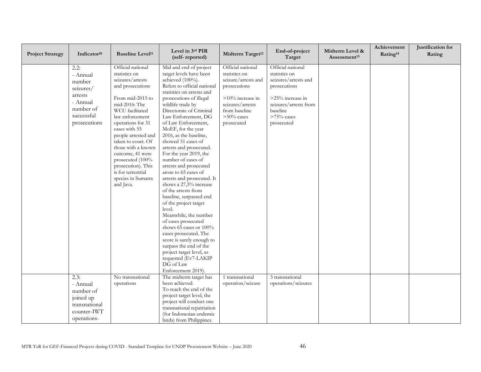| <b>Project Strategy</b> | Indicator <sup>10</sup> | <b>Baseline Level<sup>11</sup></b> | Level in 3rd PIR<br>(self-reported)                      | Midterm Target <sup>12</sup> | End-of-project<br>Target | Midterm Level &<br>Assessment <sup>13</sup> | Achievement<br>Rating <sup>14</sup> | Justification for<br>Rating |
|-------------------------|-------------------------|------------------------------------|----------------------------------------------------------|------------------------------|--------------------------|---------------------------------------------|-------------------------------------|-----------------------------|
|                         | 2.2:                    | Official national                  | Mid and end of project                                   | Official national            | Official national        |                                             |                                     |                             |
|                         | - Annual                | statistics on                      | target levels have been                                  | statistics on                | statistics on            |                                             |                                     |                             |
|                         | number                  | seizures/arrests                   | achieved (100%).                                         | seizure/arrests and          | seizures/arrests and     |                                             |                                     |                             |
|                         | seizures/               | and prosecutions                   | Refers to official national<br>statistics on arrests and | prosecutions                 | prosecutions             |                                             |                                     |                             |
|                         | arrests                 | From mid-2015 to                   | prosecutions of illegal                                  | >10% increase in             | >25% increase in         |                                             |                                     |                             |
|                         | - Annual                | mid-2016: The                      | wildlife trade by                                        | seizures/arrests             | seizures/arrests from    |                                             |                                     |                             |
|                         | number of               | WCU facilitated                    | Directorate of Criminal                                  | from baseline                | baseline                 |                                             |                                     |                             |
|                         | successful              | law enforcement                    | Law Enforcement, DG                                      | $> 50\%$ cases               | $>75\%$ cases            |                                             |                                     |                             |
|                         | prosecutions            | operations for 31                  | of Law Enforcement,                                      | prosecuted                   | prosecuted               |                                             |                                     |                             |
|                         |                         | cases with 55                      | MoEF, for the year                                       |                              |                          |                                             |                                     |                             |
|                         |                         | people arrested and                | 2016, as the baseline,                                   |                              |                          |                                             |                                     |                             |
|                         |                         | taken to court. Of                 | showed 51 cases of                                       |                              |                          |                                             |                                     |                             |
|                         |                         | those with a known                 | arrests and prosecuted.                                  |                              |                          |                                             |                                     |                             |
|                         |                         | outcome, 41 were                   | For the year 2019, the                                   |                              |                          |                                             |                                     |                             |
|                         |                         | prosecuted (100%                   | number of cases of                                       |                              |                          |                                             |                                     |                             |
|                         |                         | prosecution). This                 | arrests and prosecuted                                   |                              |                          |                                             |                                     |                             |
|                         |                         | is for terrestrial                 | arose to 65 cases of                                     |                              |                          |                                             |                                     |                             |
|                         |                         | species in Sumatra                 | arrests and prosecuted. It                               |                              |                          |                                             |                                     |                             |
|                         |                         | and Java.                          | shows a 27,5% increase                                   |                              |                          |                                             |                                     |                             |
|                         |                         |                                    | of the arrests from                                      |                              |                          |                                             |                                     |                             |
|                         |                         |                                    | baseline, surpassed end                                  |                              |                          |                                             |                                     |                             |
|                         |                         |                                    | of the project target<br>level.                          |                              |                          |                                             |                                     |                             |
|                         |                         |                                    | Meanwhile, the number                                    |                              |                          |                                             |                                     |                             |
|                         |                         |                                    | of cases prosecuted                                      |                              |                          |                                             |                                     |                             |
|                         |                         |                                    | shows 65 cases or 100%                                   |                              |                          |                                             |                                     |                             |
|                         |                         |                                    | cases prosecuted. The                                    |                              |                          |                                             |                                     |                             |
|                         |                         |                                    | score is surely enough to                                |                              |                          |                                             |                                     |                             |
|                         |                         |                                    | surpass the end of the                                   |                              |                          |                                             |                                     |                             |
|                         |                         |                                    | project target level, as                                 |                              |                          |                                             |                                     |                             |
|                         |                         |                                    | requested (Ev7-LAKIP                                     |                              |                          |                                             |                                     |                             |
|                         |                         |                                    | DG of Law                                                |                              |                          |                                             |                                     |                             |
|                         |                         |                                    | Enforcement 2019).                                       |                              |                          |                                             |                                     |                             |
|                         | 2.3:                    | No transnational                   | The midterm target has                                   | 1 transnational              | 3 transnational          |                                             |                                     |                             |
|                         | - Annual                | operations                         | been achieved.                                           | operation/seizure            | operations/seizures      |                                             |                                     |                             |
|                         | number of               |                                    | To reach the end of the                                  |                              |                          |                                             |                                     |                             |
|                         | joined up               |                                    | project target level, the                                |                              |                          |                                             |                                     |                             |
|                         |                         |                                    | project will conduct one                                 |                              |                          |                                             |                                     |                             |
|                         | transnational           |                                    | transnational repatriation                               |                              |                          |                                             |                                     |                             |
|                         | counter-IWT             |                                    | (for Indonesian endemic                                  |                              |                          |                                             |                                     |                             |
|                         | operations-             |                                    | birds) from Philippines                                  |                              |                          |                                             |                                     |                             |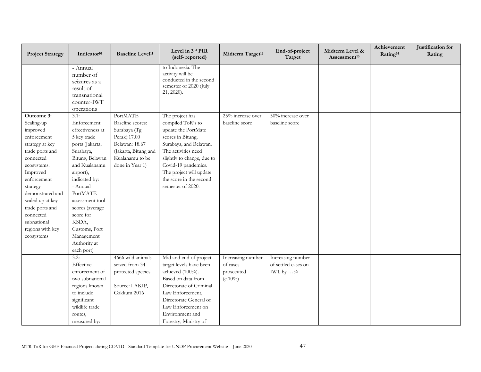| <b>Project Strategy</b>                                                                                                                                                                                                                                                               | Indicator <sup>10</sup>                                                                                                                                                                                                                                                                                   | <b>Baseline Level<sup>11</sup></b>                                                                                                           | Level in 3rd PIR<br>(self-reported)                                                                                                                                                                                                                               | Midterm Target <sup>12</sup>                              | End-of-project<br>Target                                      | Midterm Level &<br>Assessment <sup>13</sup> | Achievement<br>Rating <sup>14</sup> | Justification for<br>Rating |
|---------------------------------------------------------------------------------------------------------------------------------------------------------------------------------------------------------------------------------------------------------------------------------------|-----------------------------------------------------------------------------------------------------------------------------------------------------------------------------------------------------------------------------------------------------------------------------------------------------------|----------------------------------------------------------------------------------------------------------------------------------------------|-------------------------------------------------------------------------------------------------------------------------------------------------------------------------------------------------------------------------------------------------------------------|-----------------------------------------------------------|---------------------------------------------------------------|---------------------------------------------|-------------------------------------|-----------------------------|
|                                                                                                                                                                                                                                                                                       | - Annual<br>number of<br>seizures as a<br>result of<br>transnational<br>counter-IWT<br>operations                                                                                                                                                                                                         |                                                                                                                                              | to Indonesia. The<br>activity will be<br>conducted in the second<br>semester of 2020 (July<br>21, 2020).                                                                                                                                                          |                                                           |                                                               |                                             |                                     |                             |
| Outcome 3:<br>Scaling-up<br>improved<br>enforcement<br>strategy at key<br>trade ports and<br>connected<br>ecosystems.<br>Improved<br>enforcement<br>strategy<br>demonstrated and<br>scaled up at key<br>trade ports and<br>connected<br>subnational<br>regions with key<br>ecosystems | 3.1:<br>Enforcement<br>effectiveness at<br>5 key trade<br>ports (Jakarta,<br>Surabaya,<br>Bitung, Belawan<br>and Kualanamu<br>airport),<br>indicated by:<br>- Annual<br>PortMATE<br>assessment tool<br>scores (average<br>score for<br>KSDA,<br>Customs, Port<br>Management<br>Authority at<br>each port) | PortMATE<br>Baseline scores:<br>Surabaya (Tg<br>Perak):17.00<br>Belawan: 18.67<br>(Jakarta, Bitung and<br>Kualanamu to be<br>done in Year 1) | The project has<br>compiled ToR's to<br>update the PortMate<br>scores in Bitung,<br>Surabaya, and Belawan.<br>The activities need<br>slightly to change, due to<br>Covid-19 pandemics.<br>The project will update<br>the score in the second<br>semester of 2020. | $25\%$ increase over<br>baseline score                    | 50% increase over<br>baseline score                           |                                             |                                     |                             |
|                                                                                                                                                                                                                                                                                       | 3.2:<br>Effective<br>enforcement of<br>two subnational<br>regions known<br>to include<br>significant<br>wildlife trade<br>routes,<br>measured by:                                                                                                                                                         | 4666 wild animals<br>seized from 34<br>protected species<br>Source: LAKIP,<br>Gakkum 2016                                                    | Mid and end of project<br>target levels have been<br>achieved (100%).<br>Based on data from<br>Directorate of Criminal<br>Law Enforcement,<br>Directorate General of<br>Law Enforcement on<br>Environment and<br>Forestry, Ministry of                            | Increasing number<br>of cases<br>prosecuted<br>$(c.10\%)$ | Increasing number<br>of settled cases on<br>IWT by $\ldots\%$ |                                             |                                     |                             |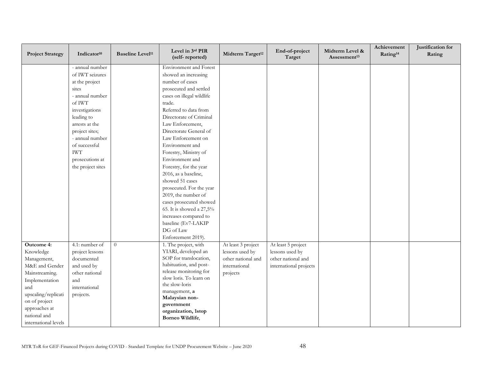| <b>Project Strategy</b>                                                                                                                                                                              | Indicator <sup>10</sup>                                                                                                                                                                                                                                  | <b>Baseline Level<sup>11</sup></b> | Level in 3rd PIR<br>(self-reported)                                                                                                                                                                                                                                                                                                                                                                                                                                                                                                                                                                | Midterm Target <sup>12</sup>                                                             | End-of-project<br>Target                                                              | Midterm Level &<br>Assessment <sup>13</sup> | Achievement<br>Rating <sup>14</sup> | Justification for<br>Rating |
|------------------------------------------------------------------------------------------------------------------------------------------------------------------------------------------------------|----------------------------------------------------------------------------------------------------------------------------------------------------------------------------------------------------------------------------------------------------------|------------------------------------|----------------------------------------------------------------------------------------------------------------------------------------------------------------------------------------------------------------------------------------------------------------------------------------------------------------------------------------------------------------------------------------------------------------------------------------------------------------------------------------------------------------------------------------------------------------------------------------------------|------------------------------------------------------------------------------------------|---------------------------------------------------------------------------------------|---------------------------------------------|-------------------------------------|-----------------------------|
|                                                                                                                                                                                                      | - annual number<br>of IWT seizures<br>at the project<br>sites<br>- annual number<br>of IWT<br>investigations<br>leading to<br>arrests at the<br>project sites;<br>- annual number<br>of successful<br><b>IWT</b><br>prosecutions at<br>the project sites |                                    | <b>Environment</b> and Forest<br>showed an increasing<br>number of cases<br>prosecuted and settled<br>cases on illegal wildlife<br>trade.<br>Referred to data from<br>Directorate of Criminal<br>Law Enforcement,<br>Directorate General of<br>Law Enforcement on<br>Environment and<br>Forestry, Ministry of<br>Environment and<br>Forestry, for the year<br>2016, as a baseline,<br>showed 51 cases<br>prosecuted. For the year<br>2019, the number of<br>cases prosecuted showed<br>65. It is showed a 27,5%<br>increases compared to<br>baseline (Ev7-LAKIP<br>DG of Law<br>Enforcement 2019). |                                                                                          |                                                                                       |                                             |                                     |                             |
| Outcome 4:<br>Knowledge<br>Management,<br>M&E and Gender<br>Mainstreaming.<br>Implementation<br>and<br>upscaling/replicati<br>on of project<br>approaches at<br>national and<br>international levels | 4.1: number of<br>project lessons<br>documented<br>and used by<br>other national<br>and<br>international<br>projects.                                                                                                                                    | $\overline{0}$                     | 1. The project, with<br>YIARI, developed an<br>SOP for translocation,<br>habituation, and post-<br>release monitoring for<br>slow loris. To learn on<br>the slow-loris<br>management, a<br>Malaysian non-<br>government<br>organization, 1stop<br>Borneo Wildlife,                                                                                                                                                                                                                                                                                                                                 | At least 3 project<br>lessons used by<br>other national and<br>international<br>projects | At least 5 project<br>lessons used by<br>other national and<br>international projects |                                             |                                     |                             |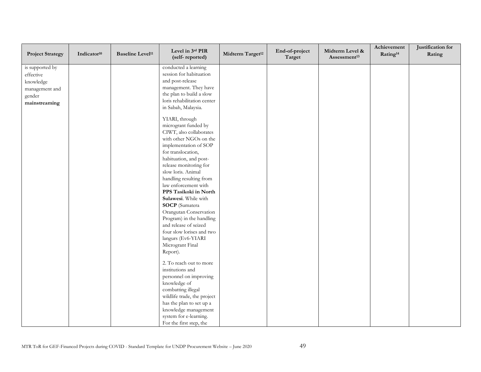| <b>Project Strategy</b> | Indicator <sup>10</sup> | <b>Baseline Level<sup>11</sup></b> | Level in 3rd PIR<br>(self-reported) | Midterm Target <sup>12</sup> | End-of-project<br>Target | Midterm Level &<br>Assessment <sup>13</sup> | Achievement<br>Rating <sup>14</sup> | Justification for<br>Rating |
|-------------------------|-------------------------|------------------------------------|-------------------------------------|------------------------------|--------------------------|---------------------------------------------|-------------------------------------|-----------------------------|
| is supported by         |                         |                                    | conducted a learning                |                              |                          |                                             |                                     |                             |
| effective               |                         |                                    | session for habituation             |                              |                          |                                             |                                     |                             |
| knowledge               |                         |                                    | and post-release                    |                              |                          |                                             |                                     |                             |
| management and          |                         |                                    | management. They have               |                              |                          |                                             |                                     |                             |
| gender                  |                         |                                    | the plan to build a slow            |                              |                          |                                             |                                     |                             |
| mainstreaming           |                         |                                    | loris rehabilitation center         |                              |                          |                                             |                                     |                             |
|                         |                         |                                    | in Sabah, Malaysia.                 |                              |                          |                                             |                                     |                             |
|                         |                         |                                    | YIARI, through                      |                              |                          |                                             |                                     |                             |
|                         |                         |                                    | microgrant funded by                |                              |                          |                                             |                                     |                             |
|                         |                         |                                    | CIWT, also collaborates             |                              |                          |                                             |                                     |                             |
|                         |                         |                                    | with other NGOs on the              |                              |                          |                                             |                                     |                             |
|                         |                         |                                    | implementation of SOP               |                              |                          |                                             |                                     |                             |
|                         |                         |                                    | for translocation,                  |                              |                          |                                             |                                     |                             |
|                         |                         |                                    | habituation, and post-              |                              |                          |                                             |                                     |                             |
|                         |                         |                                    | release monitoring for              |                              |                          |                                             |                                     |                             |
|                         |                         |                                    | slow loris. Animal                  |                              |                          |                                             |                                     |                             |
|                         |                         |                                    | handling resulting from             |                              |                          |                                             |                                     |                             |
|                         |                         |                                    | law enforcement with                |                              |                          |                                             |                                     |                             |
|                         |                         |                                    | PPS Tasikoki in North               |                              |                          |                                             |                                     |                             |
|                         |                         |                                    | Sulawesi. While with                |                              |                          |                                             |                                     |                             |
|                         |                         |                                    | <b>SOCP</b> (Sumatera               |                              |                          |                                             |                                     |                             |
|                         |                         |                                    | Orangutan Conservation              |                              |                          |                                             |                                     |                             |
|                         |                         |                                    | Program) in the handling            |                              |                          |                                             |                                     |                             |
|                         |                         |                                    | and release of seized               |                              |                          |                                             |                                     |                             |
|                         |                         |                                    | four slow lorises and two           |                              |                          |                                             |                                     |                             |
|                         |                         |                                    | langurs (Ev6-YIARI                  |                              |                          |                                             |                                     |                             |
|                         |                         |                                    | Microgrant Final                    |                              |                          |                                             |                                     |                             |
|                         |                         |                                    | Report).                            |                              |                          |                                             |                                     |                             |
|                         |                         |                                    | 2. To reach out to more             |                              |                          |                                             |                                     |                             |
|                         |                         |                                    | institutions and                    |                              |                          |                                             |                                     |                             |
|                         |                         |                                    | personnel on improving              |                              |                          |                                             |                                     |                             |
|                         |                         |                                    | knowledge of                        |                              |                          |                                             |                                     |                             |
|                         |                         |                                    | combatting illegal                  |                              |                          |                                             |                                     |                             |
|                         |                         |                                    | wildlife trade, the project         |                              |                          |                                             |                                     |                             |
|                         |                         |                                    | has the plan to set up a            |                              |                          |                                             |                                     |                             |
|                         |                         |                                    | knowledge management                |                              |                          |                                             |                                     |                             |
|                         |                         |                                    | system for e-learning.              |                              |                          |                                             |                                     |                             |
|                         |                         |                                    | For the first step, the             |                              |                          |                                             |                                     |                             |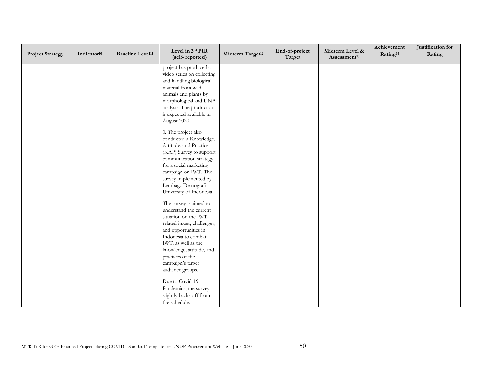| <b>Project Strategy</b> | Indicator <sup>10</sup> | <b>Baseline Level<sup>11</sup></b> | Level in 3rd PIR<br>(self-reported)                                                                                                                                                                                                                                     | Midterm Target <sup>12</sup> | End-of-project<br>Target | Midterm Level &<br>Assessment <sup>13</sup> | Achievement<br>Rating <sup>14</sup> | Justification for<br>Rating |
|-------------------------|-------------------------|------------------------------------|-------------------------------------------------------------------------------------------------------------------------------------------------------------------------------------------------------------------------------------------------------------------------|------------------------------|--------------------------|---------------------------------------------|-------------------------------------|-----------------------------|
|                         |                         |                                    | project has produced a<br>video series on collecting<br>and handling biological<br>material from wild<br>animals and plants by<br>morphological and DNA<br>analysis. The production<br>is expected available in<br>August 2020.                                         |                              |                          |                                             |                                     |                             |
|                         |                         |                                    | 3. The project also<br>conducted a Knowledge,<br>Attitude, and Practice<br>(KAP) Survey to support<br>communication strategy<br>for a social marketing<br>campaign on IWT. The<br>survey implemented by<br>Lembaga Demografi,<br>University of Indonesia.               |                              |                          |                                             |                                     |                             |
|                         |                         |                                    | The survey is aimed to<br>understand the current<br>situation on the IWT-<br>related issues, challenges,<br>and opportunities in<br>Indonesia to combat<br>IWT, as well as the<br>knowledge, attitude, and<br>practices of the<br>campaign's target<br>audience groups. |                              |                          |                                             |                                     |                             |
|                         |                         |                                    | Due to Covid-19<br>Pandemics, the survey<br>slightly backs off from<br>the schedule.                                                                                                                                                                                    |                              |                          |                                             |                                     |                             |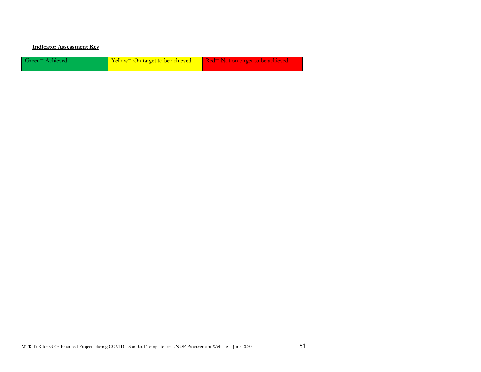#### **Indicator Assessment Key**

| Green=Achieved | Yellow= On target to be achieved | Red= Not on target to be achieved |
|----------------|----------------------------------|-----------------------------------|
|----------------|----------------------------------|-----------------------------------|